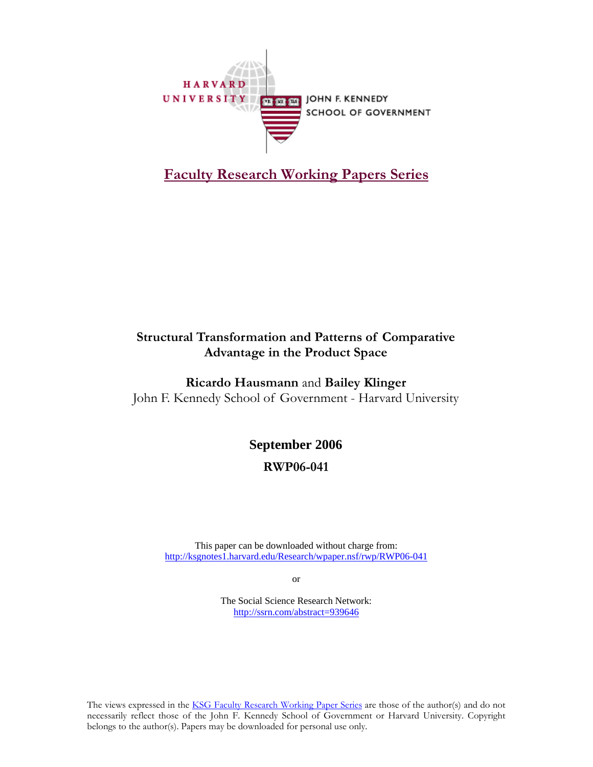

## **Faculty Research Working Papers Series**

## **Structural Transformation and Patterns of Comparative Advantage in the Product Space**

**Ricardo Hausmann** and **Bailey Klinger**  John F. Kennedy School of Government - Harvard University

**September 2006**

**RWP06-041** 

This paper can be downloaded without charge from: <http://ksgnotes1.harvard.edu/Research/wpaper.nsf/rwp/RWP06-041>

or

The Social Science Research Network: <http://ssrn.com/abstract=939646>

The views expressed in the KSG Faculty Research Working Paper Series are those of the author(s) and do not necessarily reflect those of the John F. Kennedy School of Government or Harvard University. Copyright belongs to the author(s). Papers may be downloaded for personal use only.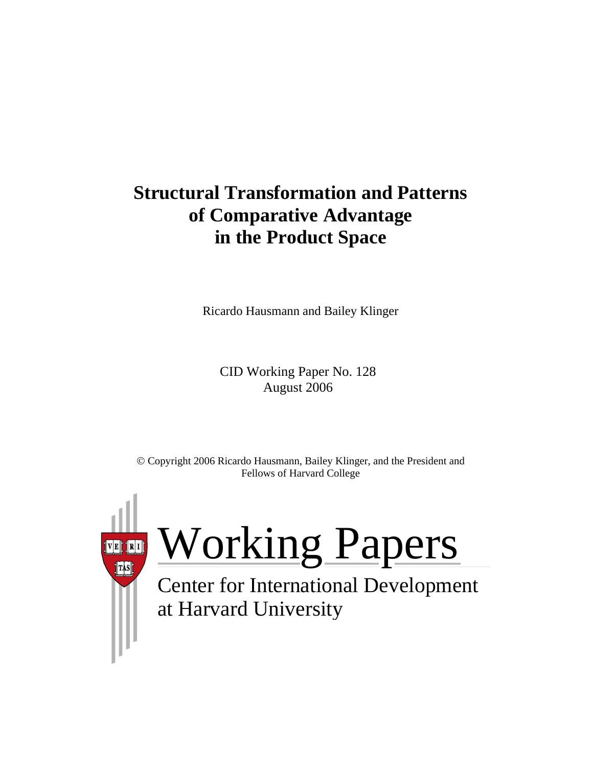# **Structural Transformation and Patterns of Comparative Advantage in the Product Space**

Ricardo Hausmann and Bailey Klinger

CID Working Paper No. 128 August 2006

© Copyright 2006 Ricardo Hausmann, Bailey Klinger, and the President and Fellows of Harvard College

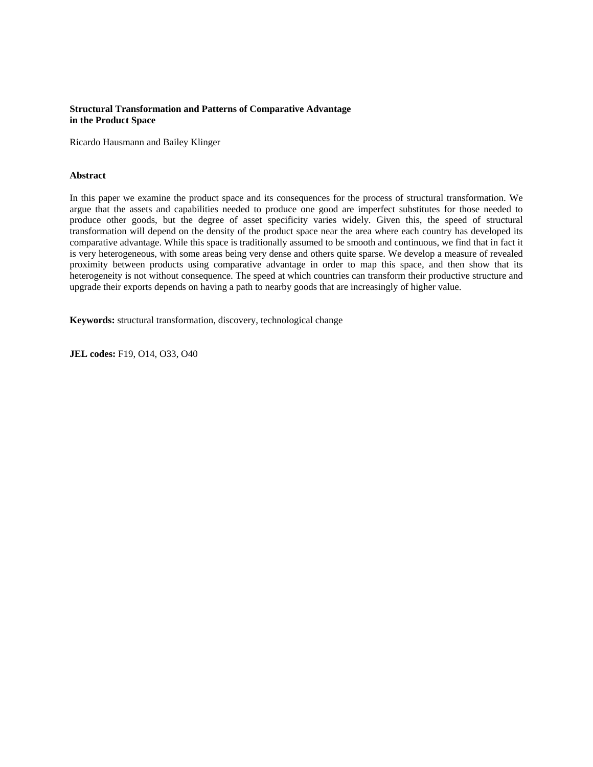#### **Structural Transformation and Patterns of Comparative Advantage in the Product Space**

Ricardo Hausmann and Bailey Klinger

#### **Abstract**

In this paper we examine the product space and its consequences for the process of structural transformation. We argue that the assets and capabilities needed to produce one good are imperfect substitutes for those needed to produce other goods, but the degree of asset specificity varies widely. Given this, the speed of structural transformation will depend on the density of the product space near the area where each country has developed its comparative advantage. While this space is traditionally assumed to be smooth and continuous, we find that in fact it is very heterogeneous, with some areas being very dense and others quite sparse. We develop a measure of revealed proximity between products using comparative advantage in order to map this space, and then show that its heterogeneity is not without consequence. The speed at which countries can transform their productive structure and upgrade their exports depends on having a path to nearby goods that are increasingly of higher value.

**Keywords:** structural transformation, discovery, technological change

**JEL codes:** F19, O14, O33, O40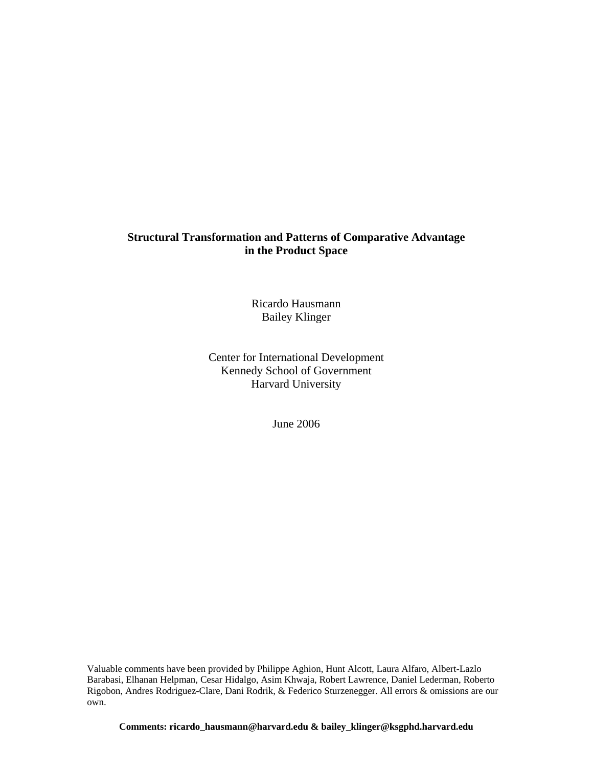## **Structural Transformation and Patterns of Comparative Advantage in the Product Space**

Ricardo Hausmann Bailey Klinger

Center for International Development Kennedy School of Government Harvard University

June 2006

Valuable comments have been provided by Philippe Aghion, Hunt Alcott, Laura Alfaro, Albert-Lazlo Barabasi, Elhanan Helpman, Cesar Hidalgo, Asim Khwaja, Robert Lawrence, Daniel Lederman, Roberto Rigobon, Andres Rodriguez-Clare, Dani Rodrik, & Federico Sturzenegger. All errors & omissions are our own.

**Comments: ricardo\_hausmann@harvard.edu & bailey\_klinger@ksgphd.harvard.edu**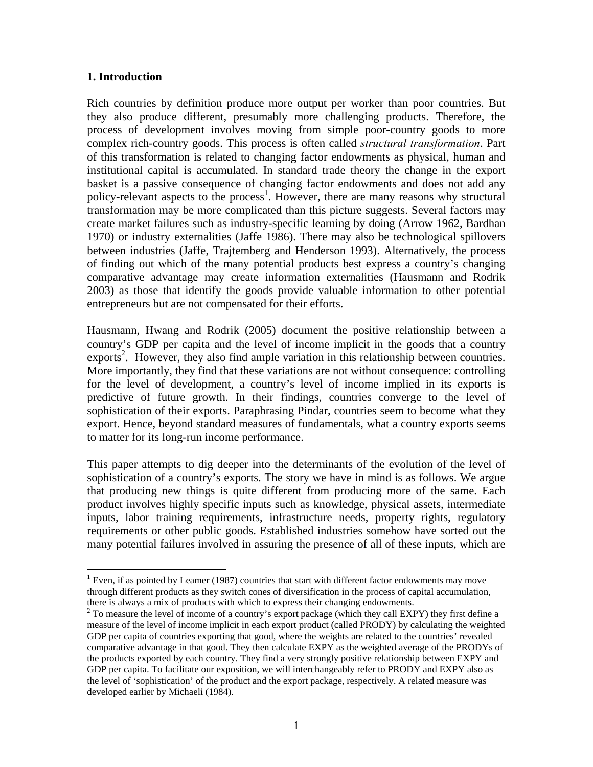## **1. Introduction**

 $\overline{a}$ 

Rich countries by definition produce more output per worker than poor countries. But they also produce different, presumably more challenging products. Therefore, the process of development involves moving from simple poor-country goods to more complex rich-country goods. This process is often called *structural transformation*. Part of this transformation is related to changing factor endowments as physical, human and institutional capital is accumulated. In standard trade theory the change in the export basket is a passive consequence of changing factor endowments and does not add any policy-relevant aspects to the process<sup>1</sup>. However, there are many reasons why structural transformation may be more complicated than this picture suggests. Several factors may create market failures such as industry-specific learning by doing (Arrow 1962, Bardhan 1970) or industry externalities (Jaffe 1986). There may also be technological spillovers between industries (Jaffe, Trajtemberg and Henderson 1993). Alternatively, the process of finding out which of the many potential products best express a country's changing comparative advantage may create information externalities (Hausmann and Rodrik 2003) as those that identify the goods provide valuable information to other potential entrepreneurs but are not compensated for their efforts.

Hausmann, Hwang and Rodrik (2005) document the positive relationship between a country's GDP per capita and the level of income implicit in the goods that a country exports<sup>2</sup>. However, they also find ample variation in this relationship between countries. More importantly, they find that these variations are not without consequence: controlling for the level of development, a country's level of income implied in its exports is predictive of future growth. In their findings, countries converge to the level of sophistication of their exports. Paraphrasing Pindar, countries seem to become what they export. Hence, beyond standard measures of fundamentals, what a country exports seems to matter for its long-run income performance.

This paper attempts to dig deeper into the determinants of the evolution of the level of sophistication of a country's exports. The story we have in mind is as follows. We argue that producing new things is quite different from producing more of the same. Each product involves highly specific inputs such as knowledge, physical assets, intermediate inputs, labor training requirements, infrastructure needs, property rights, regulatory requirements or other public goods. Established industries somehow have sorted out the many potential failures involved in assuring the presence of all of these inputs, which are

 $1$  Even, if as pointed by Leamer (1987) countries that start with different factor endowments may move through different products as they switch cones of diversification in the process of capital accumulation, there is always a mix of products with which to express their changing endowments. 2

<sup>&</sup>lt;sup>2</sup> To measure the level of income of a country's export package (which they call EXPY) they first define a measure of the level of income implicit in each export product (called PRODY) by calculating the weighted GDP per capita of countries exporting that good, where the weights are related to the countries' revealed comparative advantage in that good. They then calculate EXPY as the weighted average of the PRODYs of the products exported by each country. They find a very strongly positive relationship between EXPY and GDP per capita. To facilitate our exposition, we will interchangeably refer to PRODY and EXPY also as the level of 'sophistication' of the product and the export package, respectively. A related measure was developed earlier by Michaeli (1984).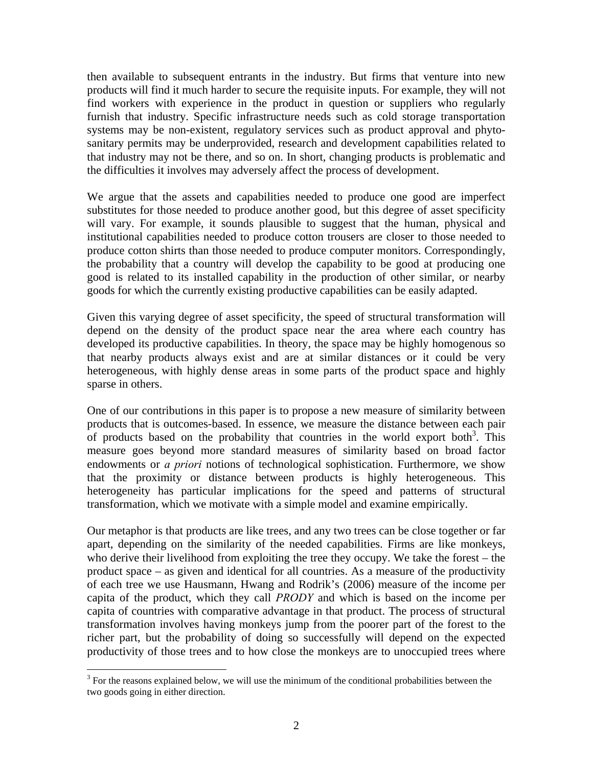then available to subsequent entrants in the industry. But firms that venture into new products will find it much harder to secure the requisite inputs. For example, they will not find workers with experience in the product in question or suppliers who regularly furnish that industry. Specific infrastructure needs such as cold storage transportation systems may be non-existent, regulatory services such as product approval and phytosanitary permits may be underprovided, research and development capabilities related to that industry may not be there, and so on. In short, changing products is problematic and the difficulties it involves may adversely affect the process of development.

We argue that the assets and capabilities needed to produce one good are imperfect substitutes for those needed to produce another good, but this degree of asset specificity will vary. For example, it sounds plausible to suggest that the human, physical and institutional capabilities needed to produce cotton trousers are closer to those needed to produce cotton shirts than those needed to produce computer monitors. Correspondingly, the probability that a country will develop the capability to be good at producing one good is related to its installed capability in the production of other similar, or nearby goods for which the currently existing productive capabilities can be easily adapted.

Given this varying degree of asset specificity, the speed of structural transformation will depend on the density of the product space near the area where each country has developed its productive capabilities. In theory, the space may be highly homogenous so that nearby products always exist and are at similar distances or it could be very heterogeneous, with highly dense areas in some parts of the product space and highly sparse in others.

One of our contributions in this paper is to propose a new measure of similarity between products that is outcomes-based. In essence, we measure the distance between each pair of products based on the probability that countries in the world export both<sup>3</sup>. This measure goes beyond more standard measures of similarity based on broad factor endowments or *a priori* notions of technological sophistication. Furthermore, we show that the proximity or distance between products is highly heterogeneous. This heterogeneity has particular implications for the speed and patterns of structural transformation, which we motivate with a simple model and examine empirically.

Our metaphor is that products are like trees, and any two trees can be close together or far apart, depending on the similarity of the needed capabilities. Firms are like monkeys, who derive their livelihood from exploiting the tree they occupy. We take the forest – the product space – as given and identical for all countries. As a measure of the productivity of each tree we use Hausmann, Hwang and Rodrik's (2006) measure of the income per capita of the product, which they call *PRODY* and which is based on the income per capita of countries with comparative advantage in that product. The process of structural transformation involves having monkeys jump from the poorer part of the forest to the richer part, but the probability of doing so successfully will depend on the expected productivity of those trees and to how close the monkeys are to unoccupied trees where

<sup>&</sup>lt;sup>3</sup> For the reasons explained below, we will use the minimum of the conditional probabilities between the two goods going in either direction.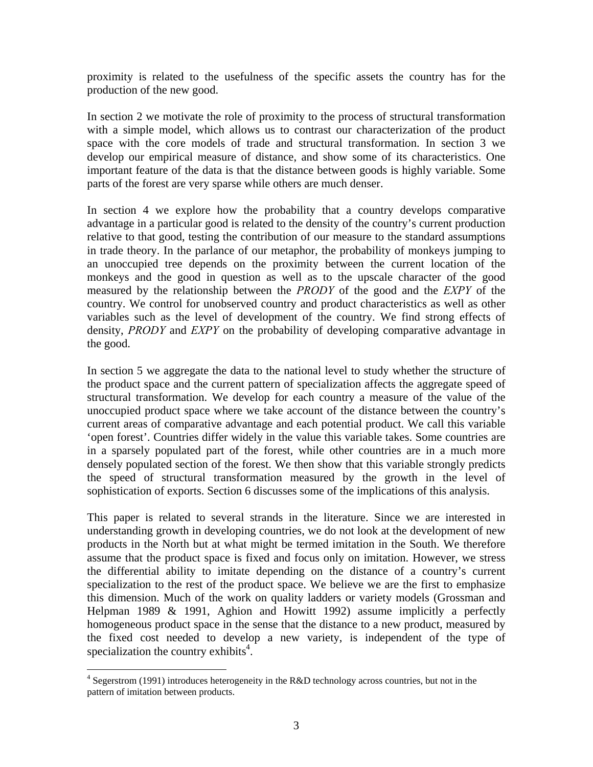proximity is related to the usefulness of the specific assets the country has for the production of the new good.

In section 2 we motivate the role of proximity to the process of structural transformation with a simple model, which allows us to contrast our characterization of the product space with the core models of trade and structural transformation. In section 3 we develop our empirical measure of distance, and show some of its characteristics. One important feature of the data is that the distance between goods is highly variable. Some parts of the forest are very sparse while others are much denser.

In section 4 we explore how the probability that a country develops comparative advantage in a particular good is related to the density of the country's current production relative to that good, testing the contribution of our measure to the standard assumptions in trade theory. In the parlance of our metaphor, the probability of monkeys jumping to an unoccupied tree depends on the proximity between the current location of the monkeys and the good in question as well as to the upscale character of the good measured by the relationship between the *PRODY* of the good and the *EXPY* of the country. We control for unobserved country and product characteristics as well as other variables such as the level of development of the country. We find strong effects of density, *PRODY* and *EXPY* on the probability of developing comparative advantage in the good.

In section 5 we aggregate the data to the national level to study whether the structure of the product space and the current pattern of specialization affects the aggregate speed of structural transformation. We develop for each country a measure of the value of the unoccupied product space where we take account of the distance between the country's current areas of comparative advantage and each potential product. We call this variable 'open forest'. Countries differ widely in the value this variable takes. Some countries are in a sparsely populated part of the forest, while other countries are in a much more densely populated section of the forest. We then show that this variable strongly predicts the speed of structural transformation measured by the growth in the level of sophistication of exports. Section 6 discusses some of the implications of this analysis.

This paper is related to several strands in the literature. Since we are interested in understanding growth in developing countries, we do not look at the development of new products in the North but at what might be termed imitation in the South. We therefore assume that the product space is fixed and focus only on imitation. However, we stress the differential ability to imitate depending on the distance of a country's current specialization to the rest of the product space. We believe we are the first to emphasize this dimension. Much of the work on quality ladders or variety models (Grossman and Helpman 1989 & 1991, Aghion and Howitt 1992) assume implicitly a perfectly homogeneous product space in the sense that the distance to a new product, measured by the fixed cost needed to develop a new variety, is independent of the type of specialization the country exhibits<sup>4</sup>.

 $\overline{a}$ 

<sup>&</sup>lt;sup>4</sup> Segerstrom (1991) introduces heterogeneity in the R&D technology across countries, but not in the pattern of imitation between products.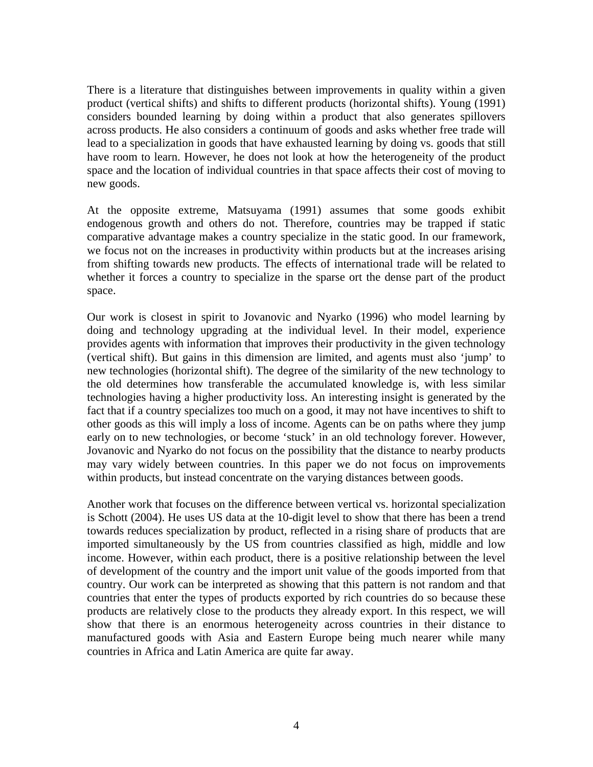There is a literature that distinguishes between improvements in quality within a given product (vertical shifts) and shifts to different products (horizontal shifts). Young (1991) considers bounded learning by doing within a product that also generates spillovers across products. He also considers a continuum of goods and asks whether free trade will lead to a specialization in goods that have exhausted learning by doing vs. goods that still have room to learn. However, he does not look at how the heterogeneity of the product space and the location of individual countries in that space affects their cost of moving to new goods.

At the opposite extreme, Matsuyama (1991) assumes that some goods exhibit endogenous growth and others do not. Therefore, countries may be trapped if static comparative advantage makes a country specialize in the static good. In our framework, we focus not on the increases in productivity within products but at the increases arising from shifting towards new products. The effects of international trade will be related to whether it forces a country to specialize in the sparse ort the dense part of the product space.

Our work is closest in spirit to Jovanovic and Nyarko (1996) who model learning by doing and technology upgrading at the individual level. In their model, experience provides agents with information that improves their productivity in the given technology (vertical shift). But gains in this dimension are limited, and agents must also 'jump' to new technologies (horizontal shift). The degree of the similarity of the new technology to the old determines how transferable the accumulated knowledge is, with less similar technologies having a higher productivity loss. An interesting insight is generated by the fact that if a country specializes too much on a good, it may not have incentives to shift to other goods as this will imply a loss of income. Agents can be on paths where they jump early on to new technologies, or become 'stuck' in an old technology forever. However, Jovanovic and Nyarko do not focus on the possibility that the distance to nearby products may vary widely between countries. In this paper we do not focus on improvements within products, but instead concentrate on the varying distances between goods.

Another work that focuses on the difference between vertical vs. horizontal specialization is Schott (2004). He uses US data at the 10-digit level to show that there has been a trend towards reduces specialization by product, reflected in a rising share of products that are imported simultaneously by the US from countries classified as high, middle and low income. However, within each product, there is a positive relationship between the level of development of the country and the import unit value of the goods imported from that country. Our work can be interpreted as showing that this pattern is not random and that countries that enter the types of products exported by rich countries do so because these products are relatively close to the products they already export. In this respect, we will show that there is an enormous heterogeneity across countries in their distance to manufactured goods with Asia and Eastern Europe being much nearer while many countries in Africa and Latin America are quite far away.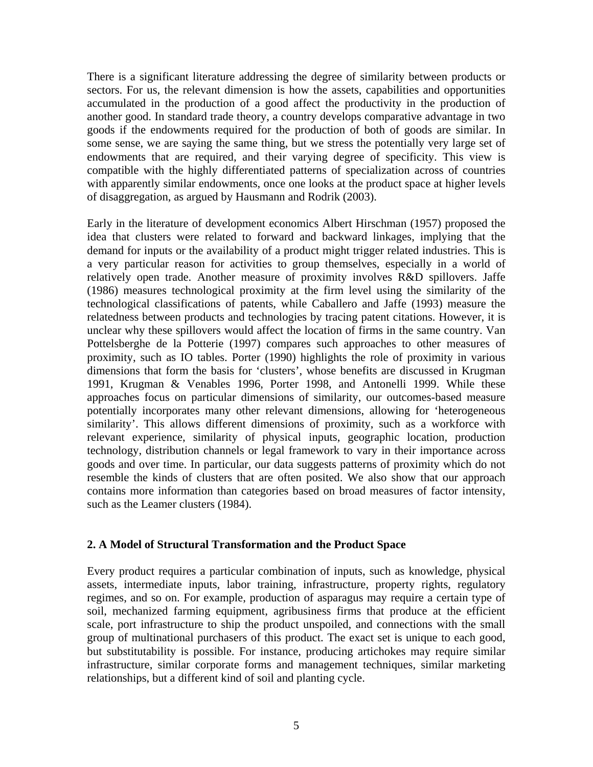There is a significant literature addressing the degree of similarity between products or sectors. For us, the relevant dimension is how the assets, capabilities and opportunities accumulated in the production of a good affect the productivity in the production of another good. In standard trade theory, a country develops comparative advantage in two goods if the endowments required for the production of both of goods are similar. In some sense, we are saying the same thing, but we stress the potentially very large set of endowments that are required, and their varying degree of specificity. This view is compatible with the highly differentiated patterns of specialization across of countries with apparently similar endowments, once one looks at the product space at higher levels of disaggregation, as argued by Hausmann and Rodrik (2003).

Early in the literature of development economics Albert Hirschman (1957) proposed the idea that clusters were related to forward and backward linkages, implying that the demand for inputs or the availability of a product might trigger related industries. This is a very particular reason for activities to group themselves, especially in a world of relatively open trade. Another measure of proximity involves R&D spillovers. Jaffe (1986) measures technological proximity at the firm level using the similarity of the technological classifications of patents, while Caballero and Jaffe (1993) measure the relatedness between products and technologies by tracing patent citations. However, it is unclear why these spillovers would affect the location of firms in the same country. Van Pottelsberghe de la Potterie (1997) compares such approaches to other measures of proximity, such as IO tables. Porter (1990) highlights the role of proximity in various dimensions that form the basis for 'clusters', whose benefits are discussed in Krugman 1991, Krugman & Venables 1996, Porter 1998, and Antonelli 1999. While these approaches focus on particular dimensions of similarity, our outcomes-based measure potentially incorporates many other relevant dimensions, allowing for 'heterogeneous similarity'. This allows different dimensions of proximity, such as a workforce with relevant experience, similarity of physical inputs, geographic location, production technology, distribution channels or legal framework to vary in their importance across goods and over time. In particular, our data suggests patterns of proximity which do not resemble the kinds of clusters that are often posited. We also show that our approach contains more information than categories based on broad measures of factor intensity, such as the Leamer clusters (1984).

## **2. A Model of Structural Transformation and the Product Space**

Every product requires a particular combination of inputs, such as knowledge, physical assets, intermediate inputs, labor training, infrastructure, property rights, regulatory regimes, and so on. For example, production of asparagus may require a certain type of soil, mechanized farming equipment, agribusiness firms that produce at the efficient scale, port infrastructure to ship the product unspoiled, and connections with the small group of multinational purchasers of this product. The exact set is unique to each good, but substitutability is possible. For instance, producing artichokes may require similar infrastructure, similar corporate forms and management techniques, similar marketing relationships, but a different kind of soil and planting cycle.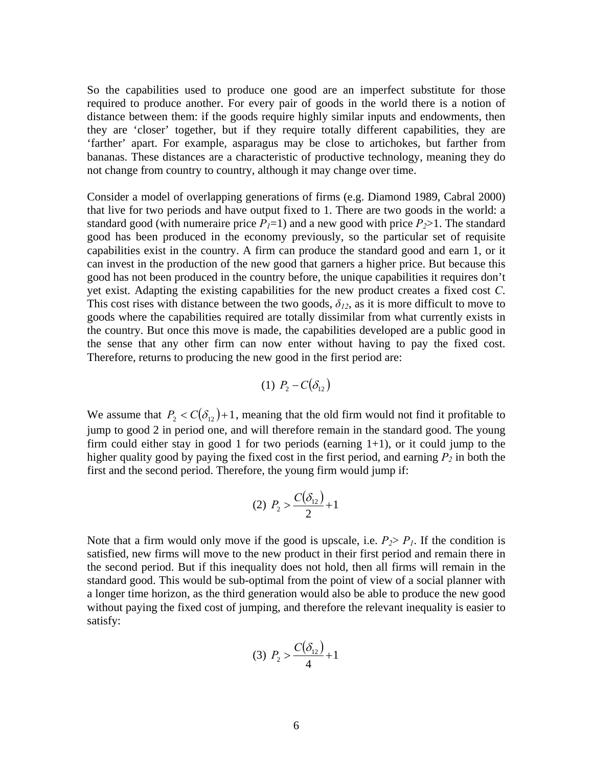So the capabilities used to produce one good are an imperfect substitute for those required to produce another. For every pair of goods in the world there is a notion of distance between them: if the goods require highly similar inputs and endowments, then they are 'closer' together, but if they require totally different capabilities, they are 'farther' apart. For example, asparagus may be close to artichokes, but farther from bananas. These distances are a characteristic of productive technology, meaning they do not change from country to country, although it may change over time.

Consider a model of overlapping generations of firms (e.g. Diamond 1989, Cabral 2000) that live for two periods and have output fixed to 1. There are two goods in the world: a standard good (with numeraire price  $P_1=1$ ) and a new good with price  $P_2>1$ . The standard good has been produced in the economy previously, so the particular set of requisite capabilities exist in the country. A firm can produce the standard good and earn 1, or it can invest in the production of the new good that garners a higher price. But because this good has not been produced in the country before, the unique capabilities it requires don't yet exist. Adapting the existing capabilities for the new product creates a fixed cost *C*. This cost rises with distance between the two goods,  $\delta_{12}$ , as it is more difficult to move to goods where the capabilities required are totally dissimilar from what currently exists in the country. But once this move is made, the capabilities developed are a public good in the sense that any other firm can now enter without having to pay the fixed cost. Therefore, returns to producing the new good in the first period are:

(1) 
$$
P_2 - C(\delta_{12})
$$

We assume that  $P_2 < C(\delta_{12})+1$ , meaning that the old firm would not find it profitable to jump to good 2 in period one, and will therefore remain in the standard good. The young firm could either stay in good 1 for two periods (earning  $1+1$ ), or it could jump to the higher quality good by paying the fixed cost in the first period, and earning  $P_2$  in both the first and the second period. Therefore, the young firm would jump if:

(2) 
$$
P_2 > \frac{C(\delta_{12})}{2} + 1
$$

Note that a firm would only move if the good is upscale, i.e.  $P_2 > P_1$ . If the condition is satisfied, new firms will move to the new product in their first period and remain there in the second period. But if this inequality does not hold, then all firms will remain in the standard good. This would be sub-optimal from the point of view of a social planner with a longer time horizon, as the third generation would also be able to produce the new good without paying the fixed cost of jumping, and therefore the relevant inequality is easier to satisfy:

$$
(3) \ \ P_2 > \frac{C(\delta_{12})}{4} + 1
$$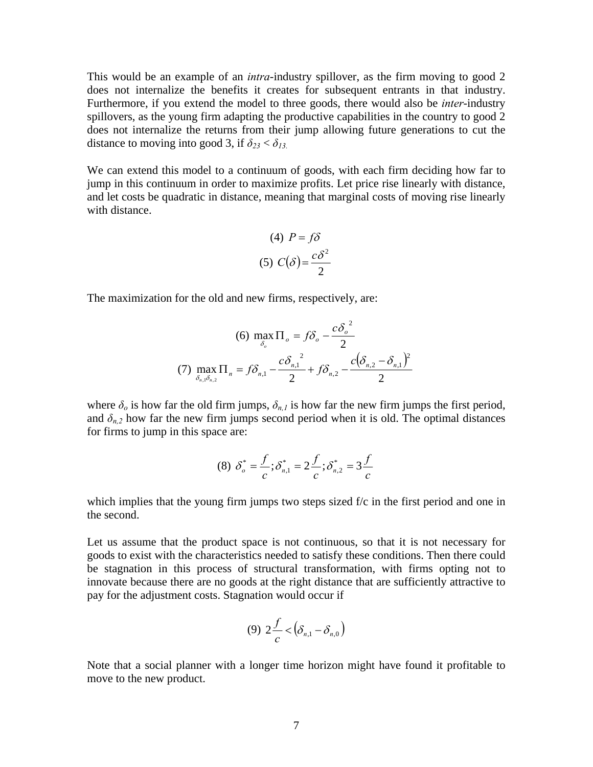This would be an example of an *intra*-industry spillover, as the firm moving to good 2 does not internalize the benefits it creates for subsequent entrants in that industry. Furthermore, if you extend the model to three goods, there would also be *inter*-industry spillovers, as the young firm adapting the productive capabilities in the country to good 2 does not internalize the returns from their jump allowing future generations to cut the distance to moving into good 3, if  $\delta_{23} < \delta_{13}$ .

We can extend this model to a continuum of goods, with each firm deciding how far to jump in this continuum in order to maximize profits. Let price rise linearly with distance, and let costs be quadratic in distance, meaning that marginal costs of moving rise linearly with distance.

(4) 
$$
P = f\delta
$$
  
(5)  $C(\delta) = \frac{c\delta^2}{2}$ 

The maximization for the old and new firms, respectively, are:

(6) 
$$
\max_{\delta_o} \Pi_o = f \delta_o - \frac{c \delta_o^2}{2}
$$
  
(7) 
$$
\max_{\delta_{n,1} \delta_{n,2}} \Pi_n = f \delta_{n,1} - \frac{c \delta_{n,1}^2}{2} + f \delta_{n,2} - \frac{c (\delta_{n,2} - \delta_{n,1})^2}{2}
$$

where  $\delta$ <sup>*o*</sup> is how far the old firm jumps,  $\delta$ <sup>*nn*</sup> is how far the new firm jumps the first period, and  $\delta_{n,2}$  how far the new firm jumps second period when it is old. The optimal distances for firms to jump in this space are:

$$
(8) \ \delta_o^* = \frac{f}{c}; \delta_{n,1}^* = 2\frac{f}{c}; \delta_{n,2}^* = 3\frac{f}{c}
$$

which implies that the young firm jumps two steps sized f/c in the first period and one in the second.

Let us assume that the product space is not continuous, so that it is not necessary for goods to exist with the characteristics needed to satisfy these conditions. Then there could be stagnation in this process of structural transformation, with firms opting not to innovate because there are no goods at the right distance that are sufficiently attractive to pay for the adjustment costs. Stagnation would occur if

$$
(9) \ 2\frac{f}{c} < (\delta_{n,1} - \delta_{n,0})
$$

Note that a social planner with a longer time horizon might have found it profitable to move to the new product.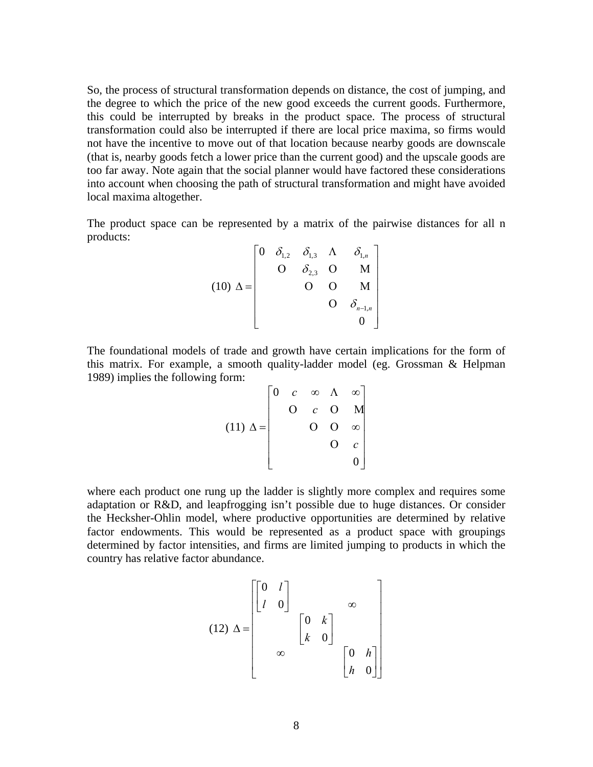So, the process of structural transformation depends on distance, the cost of jumping, and the degree to which the price of the new good exceeds the current goods. Furthermore, this could be interrupted by breaks in the product space. The process of structural transformation could also be interrupted if there are local price maxima, so firms would not have the incentive to move out of that location because nearby goods are downscale (that is, nearby goods fetch a lower price than the current good) and the upscale goods are too far away. Note again that the social planner would have factored these considerations into account when choosing the path of structural transformation and might have avoided local maxima altogether.

The product space can be represented by a matrix of the pairwise distances for all n products:

|                 | $\overline{0}$ | $\delta_{\scriptscriptstyle 1,2}$ $\delta_{\scriptscriptstyle 1,3}$ $\Lambda$ |          | $\delta_{1,n}$   |
|-----------------|----------------|-------------------------------------------------------------------------------|----------|------------------|
|                 |                | $\delta_{2,3}$                                                                | O        | М                |
| $(10) \Delta =$ |                |                                                                               |          | М                |
|                 |                |                                                                               | $\theta$ | $\delta_{n-1,n}$ |
|                 |                |                                                                               |          |                  |

The foundational models of trade and growth have certain implications for the form of this matrix. For example, a smooth quality-ladder model (eg. Grossman & Helpman 1989) implies the following form:

|                 | $\mathcal{C}_{0}$ |               | $\infty$ $\Lambda$ $\infty$ | $\overline{\phantom{a}}$             |
|-----------------|-------------------|---------------|-----------------------------|--------------------------------------|
|                 |                   | $\mathcal{C}$ | $\overline{O}$              | $\mathbf{M}$                         |
| $(11) \Delta =$ |                   |               | $\overline{O}$              | $\overline{\phantom{a}}$<br>$\infty$ |
|                 |                   |               |                             | $\mathcal C$                         |
|                 |                   |               |                             |                                      |

where each product one rung up the ladder is slightly more complex and requires some adaptation or R&D, and leapfrogging isn't possible due to huge distances. Or consider the Hecksher-Ohlin model, where productive opportunities are determined by relative factor endowments. This would be represented as a product space with groupings determined by factor intensities, and firms are limited jumping to products in which the country has relative factor abundance.

$$
(12) \Delta = \begin{bmatrix} 0 & l \\ l & 0 \end{bmatrix} \begin{bmatrix} 0 & k \\ k & 0 \end{bmatrix} \begin{bmatrix} 0 & h \\ h & 0 \end{bmatrix}
$$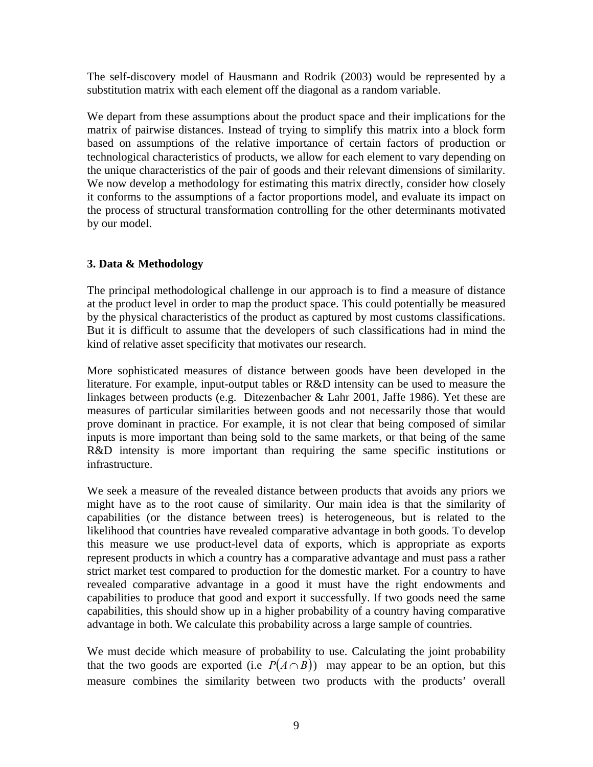The self-discovery model of Hausmann and Rodrik (2003) would be represented by a substitution matrix with each element off the diagonal as a random variable.

We depart from these assumptions about the product space and their implications for the matrix of pairwise distances. Instead of trying to simplify this matrix into a block form based on assumptions of the relative importance of certain factors of production or technological characteristics of products, we allow for each element to vary depending on the unique characteristics of the pair of goods and their relevant dimensions of similarity. We now develop a methodology for estimating this matrix directly, consider how closely it conforms to the assumptions of a factor proportions model, and evaluate its impact on the process of structural transformation controlling for the other determinants motivated by our model.

## **3. Data & Methodology**

The principal methodological challenge in our approach is to find a measure of distance at the product level in order to map the product space. This could potentially be measured by the physical characteristics of the product as captured by most customs classifications. But it is difficult to assume that the developers of such classifications had in mind the kind of relative asset specificity that motivates our research.

More sophisticated measures of distance between goods have been developed in the literature. For example, input-output tables or R&D intensity can be used to measure the linkages between products (e.g. Ditezenbacher & Lahr 2001, Jaffe 1986). Yet these are measures of particular similarities between goods and not necessarily those that would prove dominant in practice. For example, it is not clear that being composed of similar inputs is more important than being sold to the same markets, or that being of the same R&D intensity is more important than requiring the same specific institutions or infrastructure.

We seek a measure of the revealed distance between products that avoids any priors we might have as to the root cause of similarity. Our main idea is that the similarity of capabilities (or the distance between trees) is heterogeneous, but is related to the likelihood that countries have revealed comparative advantage in both goods. To develop this measure we use product-level data of exports, which is appropriate as exports represent products in which a country has a comparative advantage and must pass a rather strict market test compared to production for the domestic market. For a country to have revealed comparative advantage in a good it must have the right endowments and capabilities to produce that good and export it successfully. If two goods need the same capabilities, this should show up in a higher probability of a country having comparative advantage in both. We calculate this probability across a large sample of countries.

We must decide which measure of probability to use. Calculating the joint probability that the two goods are exported (i.e  $P(A \cap B)$ ) may appear to be an option, but this measure combines the similarity between two products with the products' overall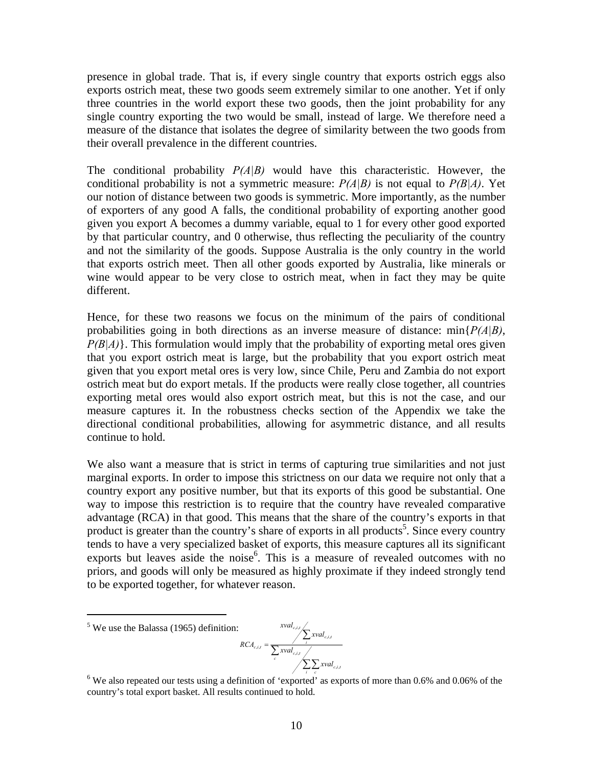presence in global trade. That is, if every single country that exports ostrich eggs also exports ostrich meat, these two goods seem extremely similar to one another. Yet if only three countries in the world export these two goods, then the joint probability for any single country exporting the two would be small, instead of large. We therefore need a measure of the distance that isolates the degree of similarity between the two goods from their overall prevalence in the different countries.

The conditional probability  $P(A|B)$  would have this characteristic. However, the conditional probability is not a symmetric measure: *P(A|B)* is not equal to *P(B|A)*. Yet our notion of distance between two goods is symmetric. More importantly, as the number of exporters of any good A falls, the conditional probability of exporting another good given you export A becomes a dummy variable, equal to 1 for every other good exported by that particular country, and 0 otherwise, thus reflecting the peculiarity of the country and not the similarity of the goods. Suppose Australia is the only country in the world that exports ostrich meet. Then all other goods exported by Australia, like minerals or wine would appear to be very close to ostrich meat, when in fact they may be quite different.

Hence, for these two reasons we focus on the minimum of the pairs of conditional probabilities going in both directions as an inverse measure of distance: min{*P(A|B)*,  $P(B|A)$ . This formulation would imply that the probability of exporting metal ores given that you export ostrich meat is large, but the probability that you export ostrich meat given that you export metal ores is very low, since Chile, Peru and Zambia do not export ostrich meat but do export metals. If the products were really close together, all countries exporting metal ores would also export ostrich meat, but this is not the case, and our measure captures it. In the robustness checks section of the Appendix we take the directional conditional probabilities, allowing for asymmetric distance, and all results continue to hold.

We also want a measure that is strict in terms of capturing true similarities and not just marginal exports. In order to impose this strictness on our data we require not only that a country export any positive number, but that its exports of this good be substantial. One way to impose this restriction is to require that the country have revealed comparative advantage (RCA) in that good. This means that the share of the country's exports in that product is greater than the country's share of exports in all products<sup>5</sup>. Since every country tends to have a very specialized basket of exports, this measure captures all its significant exports but leaves aside the noise<sup>6</sup>. This is a measure of revealed outcomes with no priors, and goods will only be measured as highly proximate if they indeed strongly tend to be exported together, for whatever reason.

<u>.</u>

 $<sup>5</sup>$  We use the Balassa (1965) definition:</sup>

<sup>∑∑</sup> ∑ ∑ =  $\frac{c}{i}$   $\frac{c}{c}$ <sup>*xvu*<sub>*ci*,*t*</sup></sup></sub>  $\sum_{c}$ <sup>*xv***u***i*<sub>*c*,*i*,*t*</sub></sup>  $\sum_i$ <sup>*x*</sup> *vu i*<sub>*c*,*i*,*i*</sub> *c i t c i t xval xval xval xval RCA* , , , , , , , , , ,

<sup>&</sup>lt;sup>6</sup> We also repeated our tests using a definition of 'exported' as exports of more than 0.6% and 0.06% of the country's total export basket. All results continued to hold.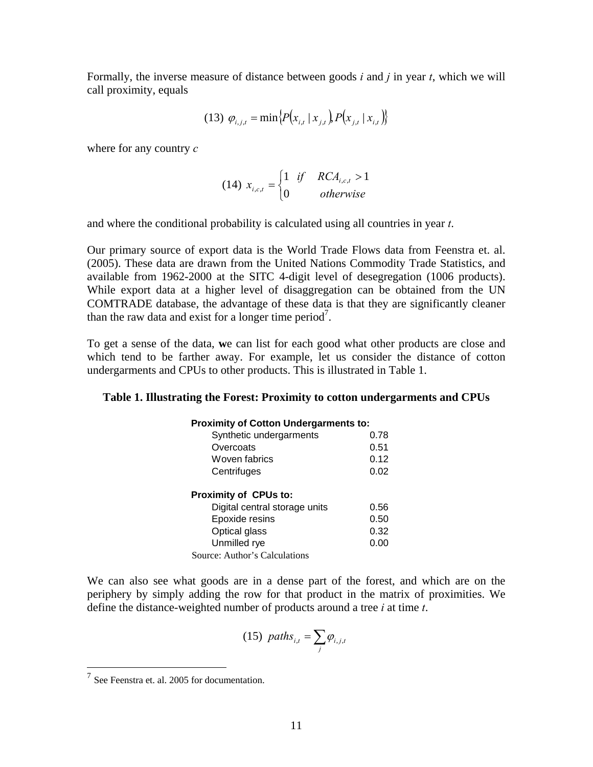Formally, the inverse measure of distance between goods *i* and *j* in year *t*, which we will call proximity, equals

$$
(13) \ \varphi_{i,j,t} = \min\{P(x_{i,t} \mid x_{j,t})\} P(x_{j,t} \mid x_{i,t})\}
$$

where for any country *c*

(14) 
$$
x_{i,c,t} = \begin{cases} 1 & \text{if } RCA_{i,c,t} > 1 \\ 0 & \text{otherwise} \end{cases}
$$

and where the conditional probability is calculated using all countries in year *t*.

Our primary source of export data is the World Trade Flows data from Feenstra et. al. (2005). These data are drawn from the United Nations Commodity Trade Statistics, and available from 1962-2000 at the SITC 4-digit level of desegregation (1006 products). While export data at a higher level of disaggregation can be obtained from the UN COMTRADE database, the advantage of these data is that they are significantly cleaner than the raw data and exist for a longer time period<sup>7</sup>.

To get a sense of the data, **w**e can list for each good what other products are close and which tend to be farther away. For example, let us consider the distance of cotton undergarments and CPUs to other products. This is illustrated in Table 1.

## **Table 1. Illustrating the Forest: Proximity to cotton undergarments and CPUs**

| <b>Proximity of Cotton Undergarments to:</b> |      |  |  |  |
|----------------------------------------------|------|--|--|--|
| Synthetic undergarments                      | 0.78 |  |  |  |
| Overcoats                                    | 0.51 |  |  |  |
| Woven fabrics                                | 0.12 |  |  |  |
| Centrifuges                                  | 0.02 |  |  |  |
| <b>Proximity of CPUs to:</b>                 |      |  |  |  |
| Digital central storage units                | 0.56 |  |  |  |
| Epoxide resins                               | 0.50 |  |  |  |
| Optical glass                                | 0.32 |  |  |  |
| Unmilled rye                                 | 0.00 |  |  |  |
| Source: Author's Calculations                |      |  |  |  |

## We can also see what goods are in a dense part of the forest, and which are on the periphery by simply adding the row for that product in the matrix of proximities. We define the distance-weighted number of products around a tree *i* at time *t*.

$$
(15) \ \ paths_{i,t} = \sum_{j} \varphi_{i,j,t}
$$

1

 $<sup>7</sup>$  See Feenstra et. al. 2005 for documentation.</sup>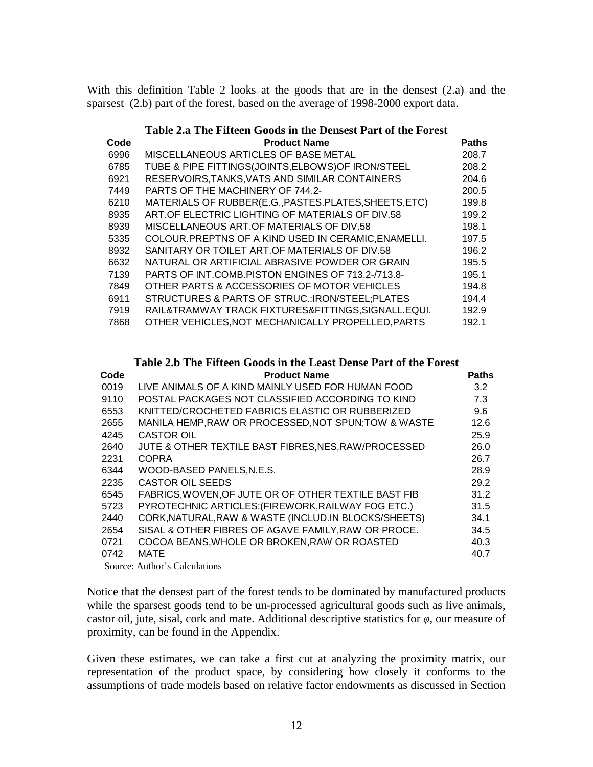With this definition Table 2 looks at the goods that are in the densest (2.a) and the sparsest (2.b) part of the forest, based on the average of 1998-2000 export data.

## **Table 2.a The Fifteen Goods in the Densest Part of the Forest**

| Code | <b>Product Name</b>                                   | <b>Paths</b> |
|------|-------------------------------------------------------|--------------|
| 6996 | MISCELLANEOUS ARTICLES OF BASE METAL                  | 208.7        |
| 6785 | TUBE & PIPE FITTINGS(JOINTS, ELBOWS) OF IRON/STEEL    | 208.2        |
| 6921 | RESERVOIRS, TANKS, VATS AND SIMILAR CONTAINERS        | 204.6        |
| 7449 | <b>PARTS OF THE MACHINERY OF 744.2-</b>               | 200.5        |
| 6210 | MATERIALS OF RUBBER(E.G., PASTES.PLATES, SHEETS, ETC) | 199.8        |
| 8935 | ART.OF ELECTRIC LIGHTING OF MATERIALS OF DIV.58       | 199.2        |
| 8939 | MISCELLANEOUS ART.OF MATERIALS OF DIV.58              | 198.1        |
| 5335 | COLOUR. PREPTNS OF A KIND USED IN CERAMIC, ENAMELLI.  | 197.5        |
| 8932 | SANITARY OR TOILET ART.OF MATERIALS OF DIV.58         | 196.2        |
| 6632 | NATURAL OR ARTIFICIAL ABRASIVE POWDER OR GRAIN        | 195.5        |
| 7139 | PARTS OF INT COMB PISTON ENGINES OF 713.2-713.8-      | 195.1        |
| 7849 | OTHER PARTS & ACCESSORIES OF MOTOR VEHICLES           | 194.8        |
| 6911 | STRUCTURES & PARTS OF STRUC.: IRON/STEEL; PLATES      | 194.4        |
| 7919 | RAIL&TRAMWAY TRACK FIXTURES&FITTINGS, SIGNALL. EQUI.  | 192.9        |
| 7868 | OTHER VEHICLES, NOT MECHANICALLY PROPELLED, PARTS     | 192.1        |

**Table 2.b The Fifteen Goods in the Least Dense Part of the Forest** 

| Code | <b>Product Name</b>                                   | <b>Paths</b> |
|------|-------------------------------------------------------|--------------|
| 0019 | LIVE ANIMALS OF A KIND MAINLY USED FOR HUMAN FOOD     | 3.2          |
| 9110 | POSTAL PACKAGES NOT CLASSIFIED ACCORDING TO KIND      | 7.3          |
| 6553 | KNITTED/CROCHETED FABRICS ELASTIC OR RUBBERIZED       | 9.6          |
| 2655 | MANILA HEMP, RAW OR PROCESSED, NOT SPUN; TOW & WASTE  | 12.6         |
| 4245 | <b>CASTOR OIL</b>                                     | 25.9         |
| 2640 | JUTE & OTHER TEXTILE BAST FIBRES, NES, RAW/PROCESSED  | 26.0         |
| 2231 | <b>COPRA</b>                                          | 26.7         |
| 6344 | WOOD-BASED PANELS, N.E.S.                             | 28.9         |
| 2235 | <b>CASTOR OIL SEEDS</b>                               | 29.2         |
| 6545 | FABRICS, WOVEN, OF JUTE OR OF OTHER TEXTILE BAST FIB  | 31.2         |
| 5723 | PYROTECHNIC ARTICLES: (FIREWORK, RAILWAY FOG ETC.)    | 31.5         |
| 2440 | CORK, NATURAL, RAW & WASTE (INCLUD. IN BLOCKS/SHEETS) | 34.1         |
| 2654 | SISAL & OTHER FIBRES OF AGAVE FAMILY, RAW OR PROCE.   | 34.5         |
| 0721 | COCOA BEANS, WHOLE OR BROKEN, RAW OR ROASTED          | 40.3         |
| 0742 | MATE                                                  | 40.7         |
|      | Source: Author's Calculations                         |              |

Notice that the densest part of the forest tends to be dominated by manufactured products while the sparsest goods tend to be un-processed agricultural goods such as live animals, castor oil, jute, sisal, cork and mate. Additional descriptive statistics for *φ*, our measure of proximity, can be found in the Appendix.

Given these estimates, we can take a first cut at analyzing the proximity matrix, our representation of the product space, by considering how closely it conforms to the assumptions of trade models based on relative factor endowments as discussed in Section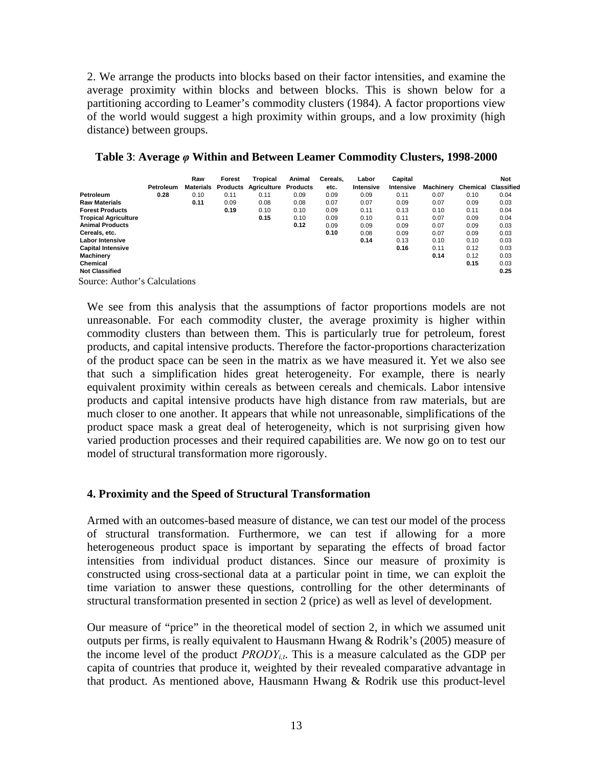2. We arrange the products into blocks based on their factor intensities, and examine the average proximity within blocks and between blocks. This is shown below for a partitioning according to Leamer's commodity clusters (1984). A factor proportions view of the world would suggest a high proximity within groups, and a low proximity (high distance) between groups.

|                               | Petroleum | Raw<br>Materials | Forest<br>Products | Tropical<br>Agriculture | Animal<br><b>Products</b> | Cereals.<br>etc. | Labor<br>Intensive | Capital<br><b>Intensive</b> | Machinery | Chemical | Not<br>Classified |
|-------------------------------|-----------|------------------|--------------------|-------------------------|---------------------------|------------------|--------------------|-----------------------------|-----------|----------|-------------------|
| Petroleum                     | 0.28      | 0.10             | 0.11               | 0.11                    | 0.09                      | 0.09             | 0.09               | 0.11                        | 0.07      | 0.10     | 0.04              |
| <b>Raw Materials</b>          |           | 0.11             | 0.09               | 0.08                    | 0.08                      | 0.07             | 0.07               | 0.09                        | 0.07      | 0.09     | 0.03              |
| <b>Forest Products</b>        |           |                  | 0.19               | 0.10                    | 0.10                      | 0.09             | 0.11               | 0.13                        | 0.10      | 0.11     | 0.04              |
| <b>Tropical Agriculture</b>   |           |                  |                    | 0.15                    | 0.10                      | 0.09             | 0.10               | 0.11                        | 0.07      | 0.09     | 0.04              |
| <b>Animal Products</b>        |           |                  |                    |                         | 0.12                      | 0.09             | 0.09               | 0.09                        | 0.07      | 0.09     | 0.03              |
| Cereals, etc.                 |           |                  |                    |                         |                           | 0.10             | 0.08               | 0.09                        | 0.07      | 0.09     | 0.03              |
| <b>Labor Intensive</b>        |           |                  |                    |                         |                           |                  | 0.14               | 0.13                        | 0.10      | 0.10     | 0.03              |
| <b>Capital Intensive</b>      |           |                  |                    |                         |                           |                  |                    | 0.16                        | 0.11      | 0.12     | 0.03              |
| <b>Machinery</b>              |           |                  |                    |                         |                           |                  |                    |                             | 0.14      | 0.12     | 0.03              |
| Chemical                      |           |                  |                    |                         |                           |                  |                    |                             |           | 0.15     | 0.03              |
| <b>Not Classified</b>         |           |                  |                    |                         |                           |                  |                    |                             |           |          | 0.25              |
| Source: Author's Calculations |           |                  |                    |                         |                           |                  |                    |                             |           |          |                   |

## **Table 3**: **Average** *φ* **Within and Between Leamer Commodity Clusters, 1998-2000**

We see from this analysis that the assumptions of factor proportions models are not unreasonable. For each commodity cluster, the average proximity is higher within commodity clusters than between them. This is particularly true for petroleum, forest products, and capital intensive products. Therefore the factor-proportions characterization of the product space can be seen in the matrix as we have measured it. Yet we also see that such a simplification hides great heterogeneity. For example, there is nearly equivalent proximity within cereals as between cereals and chemicals. Labor intensive products and capital intensive products have high distance from raw materials, but are much closer to one another. It appears that while not unreasonable, simplifications of the product space mask a great deal of heterogeneity, which is not surprising given how varied production processes and their required capabilities are. We now go on to test our model of structural transformation more rigorously.

## **4. Proximity and the Speed of Structural Transformation**

Armed with an outcomes-based measure of distance, we can test our model of the process of structural transformation. Furthermore, we can test if allowing for a more heterogeneous product space is important by separating the effects of broad factor intensities from individual product distances. Since our measure of proximity is constructed using cross-sectional data at a particular point in time, we can exploit the time variation to answer these questions, controlling for the other determinants of structural transformation presented in section 2 (price) as well as level of development.

Our measure of "price" in the theoretical model of section 2, in which we assumed unit outputs per firms, is really equivalent to Hausmann Hwang & Rodrik's (2005) measure of the income level of the product *PRODYi,t*. This is a measure calculated as the GDP per capita of countries that produce it, weighted by their revealed comparative advantage in that product. As mentioned above, Hausmann Hwang & Rodrik use this product-level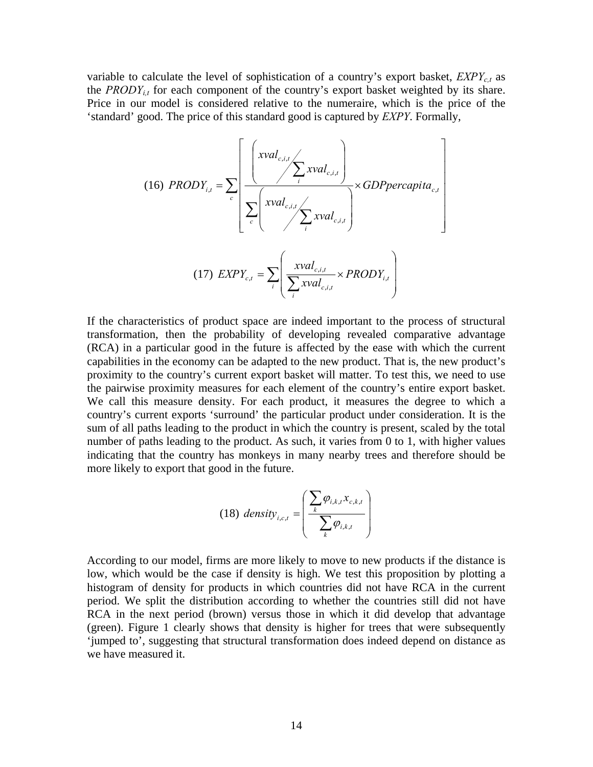variable to calculate the level of sophistication of a country's export basket,  $EXPY_{c,t}$  as the  $PRODY_{i,t}$  for each component of the country's export basket weighted by its share. Price in our model is considered relative to the numeraire, which is the price of the 'standard' good. The price of this standard good is captured by *EXPY*. Formally,

(16) 
$$
PROD Y_{i,t} = \sum_{c} \left[ \frac{\left( xval_{c,i,t} \sum_{i} xval_{c,i,t} \right)}{\sum_{c} \left( xval_{c,i,t} \sum_{i} xval_{c,i,t} \right)} \times GDPpercapita_{c,t} \right]
$$
  
(17) 
$$
EXPY_{c,t} = \sum_{i} \left( \frac{xval_{c,i,t}}{\sum_{i} xval_{c,i,t}} \times PROD Y_{i,t} \right)
$$

If the characteristics of product space are indeed important to the process of structural transformation, then the probability of developing revealed comparative advantage (RCA) in a particular good in the future is affected by the ease with which the current capabilities in the economy can be adapted to the new product. That is, the new product's proximity to the country's current export basket will matter. To test this, we need to use the pairwise proximity measures for each element of the country's entire export basket. We call this measure density. For each product, it measures the degree to which a country's current exports 'surround' the particular product under consideration. It is the sum of all paths leading to the product in which the country is present, scaled by the total number of paths leading to the product. As such, it varies from 0 to 1, with higher values indicating that the country has monkeys in many nearby trees and therefore should be more likely to export that good in the future.

(18) density<sub>i,c,t</sub> = 
$$
\left( \frac{\sum_{k} \varphi_{i,k,t} x_{c,k,t}}{\sum_{k} \varphi_{i,k,t}} \right)
$$

According to our model, firms are more likely to move to new products if the distance is low, which would be the case if density is high. We test this proposition by plotting a histogram of density for products in which countries did not have RCA in the current period. We split the distribution according to whether the countries still did not have RCA in the next period (brown) versus those in which it did develop that advantage (green). Figure 1 clearly shows that density is higher for trees that were subsequently 'jumped to', suggesting that structural transformation does indeed depend on distance as we have measured it.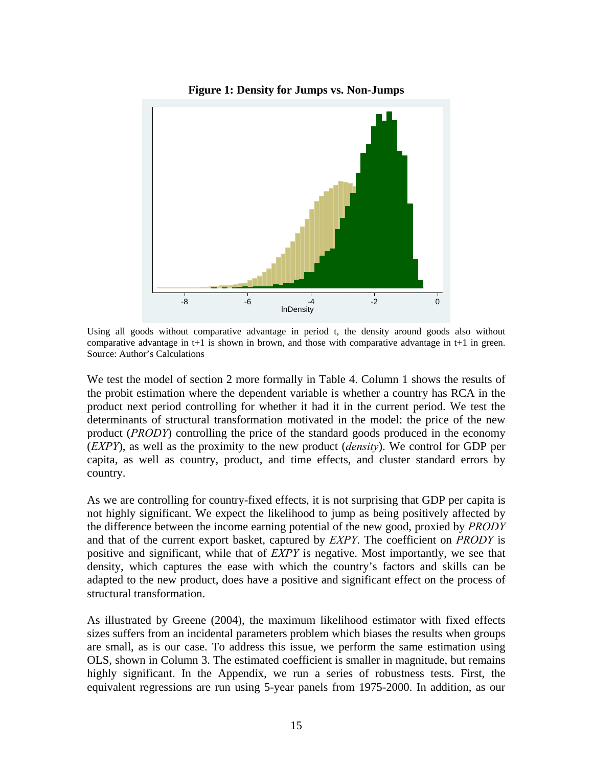

**Figure 1: Density for Jumps vs. Non-Jumps** 

Using all goods without comparative advantage in period t, the density around goods also without comparative advantage in t+1 is shown in brown, and those with comparative advantage in t+1 in green. Source: Author's Calculations

We test the model of section 2 more formally in Table 4. Column 1 shows the results of the probit estimation where the dependent variable is whether a country has RCA in the product next period controlling for whether it had it in the current period. We test the determinants of structural transformation motivated in the model: the price of the new product (*PRODY*) controlling the price of the standard goods produced in the economy (*EXPY*), as well as the proximity to the new product (*density*). We control for GDP per capita, as well as country, product, and time effects, and cluster standard errors by country.

As we are controlling for country-fixed effects, it is not surprising that GDP per capita is not highly significant. We expect the likelihood to jump as being positively affected by the difference between the income earning potential of the new good, proxied by *PRODY* and that of the current export basket, captured by *EXPY*. The coefficient on *PRODY* is positive and significant, while that of *EXPY* is negative. Most importantly, we see that density, which captures the ease with which the country's factors and skills can be adapted to the new product, does have a positive and significant effect on the process of structural transformation.

As illustrated by Greene (2004), the maximum likelihood estimator with fixed effects sizes suffers from an incidental parameters problem which biases the results when groups are small, as is our case. To address this issue, we perform the same estimation using OLS, shown in Column 3. The estimated coefficient is smaller in magnitude, but remains highly significant. In the Appendix, we run a series of robustness tests. First, the equivalent regressions are run using 5-year panels from 1975-2000. In addition, as our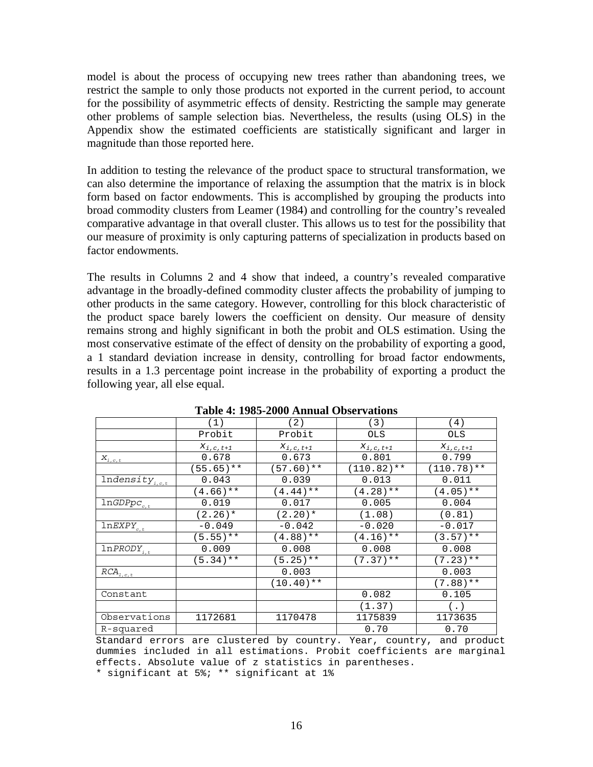model is about the process of occupying new trees rather than abandoning trees, we restrict the sample to only those products not exported in the current period, to account for the possibility of asymmetric effects of density. Restricting the sample may generate other problems of sample selection bias. Nevertheless, the results (using OLS) in the Appendix show the estimated coefficients are statistically significant and larger in magnitude than those reported here.

In addition to testing the relevance of the product space to structural transformation, we can also determine the importance of relaxing the assumption that the matrix is in block form based on factor endowments. This is accomplished by grouping the products into broad commodity clusters from Leamer (1984) and controlling for the country's revealed comparative advantage in that overall cluster. This allows us to test for the possibility that our measure of proximity is only capturing patterns of specialization in products based on factor endowments.

The results in Columns 2 and 4 show that indeed, a country's revealed comparative advantage in the broadly-defined commodity cluster affects the probability of jumping to other products in the same category. However, controlling for this block characteristic of the product space barely lowers the coefficient on density. Our measure of density remains strong and highly significant in both the probit and OLS estimation. Using the most conservative estimate of the effect of density on the probability of exporting a good, a 1 standard deviation increase in density, controlling for broad factor endowments, results in a 1.3 percentage point increase in the probability of exporting a product the following year, all else equal.

|                                                 | (1)           | (2)                   | (3)           | (4)           |
|-------------------------------------------------|---------------|-----------------------|---------------|---------------|
|                                                 | Probit        | Probit                | <b>OLS</b>    | <b>OLS</b>    |
|                                                 | $X_{i,c,t+1}$ | $X_{i,c,t+1}$         | $X_{i,c,t+1}$ | $X_{i,c,t+1}$ |
| $X_{i,c,t}$                                     | 0.678         | 0.673                 | 0.801         | 0.799         |
|                                                 | $(55.65)$ **  | $57.60$ <sup>**</sup> | $(110.82)$ ** | $(110.78)**$  |
| $\overline{\text{Indensity}_{i,c,t}}$           | 0.043         | 0.039                 | 0.013         | 0.011         |
|                                                 | $(4.66)$ **   | $(4.44)$ **           | $(4.28)*$     | $(4.05)$ **   |
| $\overline{\text{lnGDPpc}}_{c,t}$               | 0.019         | 0.017                 | 0.005         | 0.004         |
|                                                 | $2.26$ $*$    | $(2.20)*$             | (1.08)        | (0.81)        |
| $\overline{\mathtt{ln} \mathtt{EXPY}_{_{c,t}}}$ | $-0.049$      | $-0.042$              | $-0.020$      | $-0.017$      |
|                                                 | $(5.55)**$    | $4.88$ <sup>**</sup>  | $(4.16)$ **   | $(3.57)$ **   |
| $\overline{\ln}$ <i>PRODY</i> <sub>i,t</sub>    | 0.009         | 0.008                 | 0.008         | 0.008         |
|                                                 | $(5.34)$ **   | $5.25$ <sup>**</sup>  | $(7.37)$ **   | $(7.23)$ **   |
| $RCA$ <sub>1,c,t</sub>                          |               | 0.003                 |               | 0.003         |
|                                                 |               | $(10.40)**$           |               | $(7.88)$ **   |
| Constant                                        |               |                       | 0.082         | 0.105         |
|                                                 |               |                       | (1.37)        | $($ .)        |
| Observations                                    | 1172681       | 1170478               | 1175839       | 1173635       |
| R-squared                                       |               |                       | 0.70          | 0.70          |

**Table 4: 1985-2000 Annual Observations** 

Standard errors are clustered by country. Year, country, and product dummies included in all estimations. Probit coefficients are marginal effects. Absolute value of z statistics in parentheses.

\* significant at 5%; \*\* significant at 1%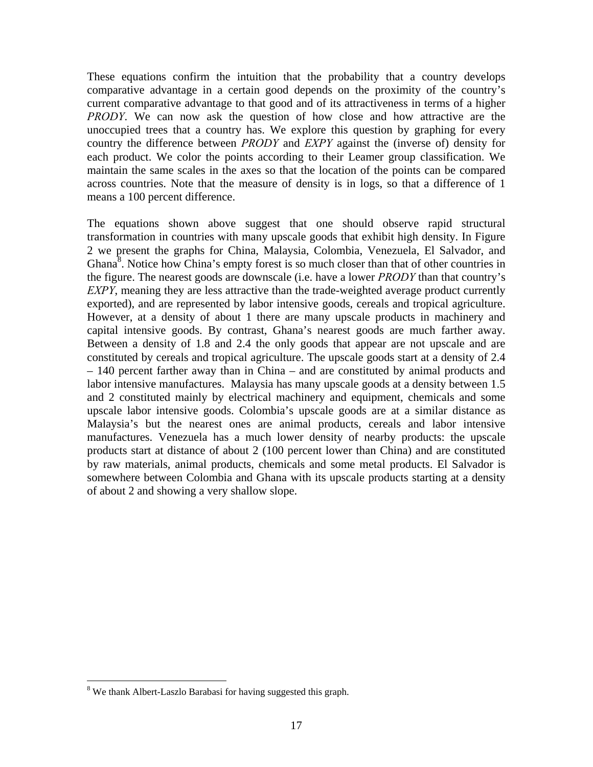These equations confirm the intuition that the probability that a country develops comparative advantage in a certain good depends on the proximity of the country's current comparative advantage to that good and of its attractiveness in terms of a higher *PRODY*. We can now ask the question of how close and how attractive are the unoccupied trees that a country has. We explore this question by graphing for every country the difference between *PRODY* and *EXPY* against the (inverse of) density for each product. We color the points according to their Leamer group classification. We maintain the same scales in the axes so that the location of the points can be compared across countries. Note that the measure of density is in logs, so that a difference of 1 means a 100 percent difference.

The equations shown above suggest that one should observe rapid structural transformation in countries with many upscale goods that exhibit high density. In Figure 2 we present the graphs for China, Malaysia, Colombia, Venezuela, El Salvador, and Ghana $\delta$ . Notice how China's empty forest is so much closer than that of other countries in the figure. The nearest goods are downscale (i.e. have a lower *PRODY* than that country's *EXPY*, meaning they are less attractive than the trade-weighted average product currently exported), and are represented by labor intensive goods, cereals and tropical agriculture. However, at a density of about 1 there are many upscale products in machinery and capital intensive goods. By contrast, Ghana's nearest goods are much farther away. Between a density of 1.8 and 2.4 the only goods that appear are not upscale and are constituted by cereals and tropical agriculture. The upscale goods start at a density of 2.4 – 140 percent farther away than in China – and are constituted by animal products and labor intensive manufactures. Malaysia has many upscale goods at a density between 1.5 and 2 constituted mainly by electrical machinery and equipment, chemicals and some upscale labor intensive goods. Colombia's upscale goods are at a similar distance as Malaysia's but the nearest ones are animal products, cereals and labor intensive manufactures. Venezuela has a much lower density of nearby products: the upscale products start at distance of about 2 (100 percent lower than China) and are constituted by raw materials, animal products, chemicals and some metal products. El Salvador is somewhere between Colombia and Ghana with its upscale products starting at a density of about 2 and showing a very shallow slope.

<u>.</u>

<sup>&</sup>lt;sup>8</sup> We thank Albert-Laszlo Barabasi for having suggested this graph.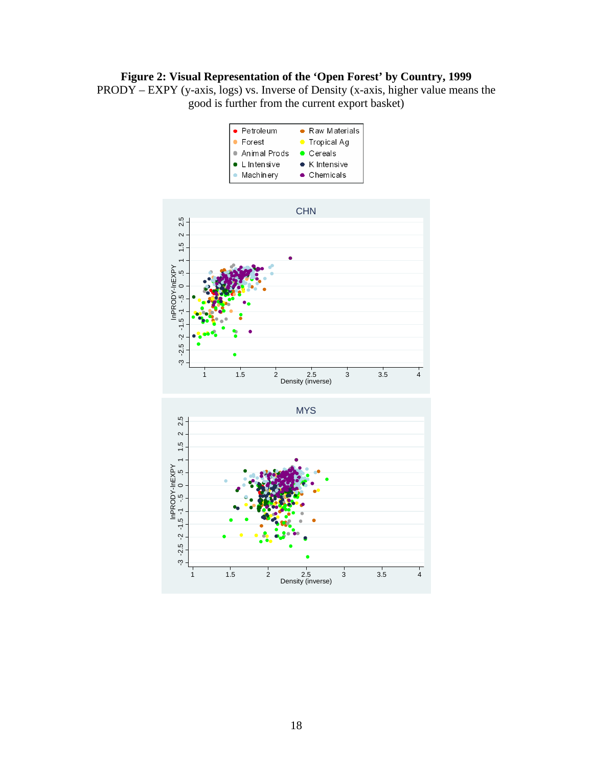## **Figure 2: Visual Representation of the 'Open Forest' by Country, 1999**

PRODY – EXPY (y-axis, logs) vs. Inverse of Density (x-axis, higher value means the good is further from the current export basket)





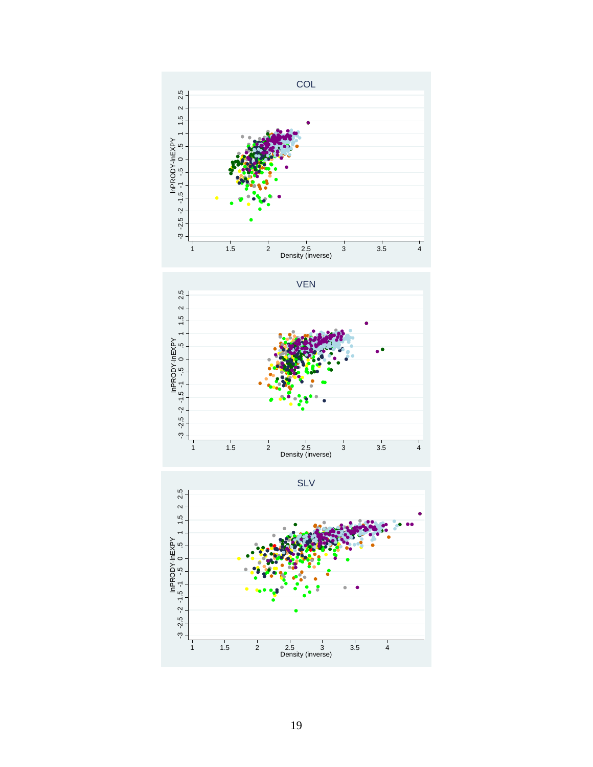



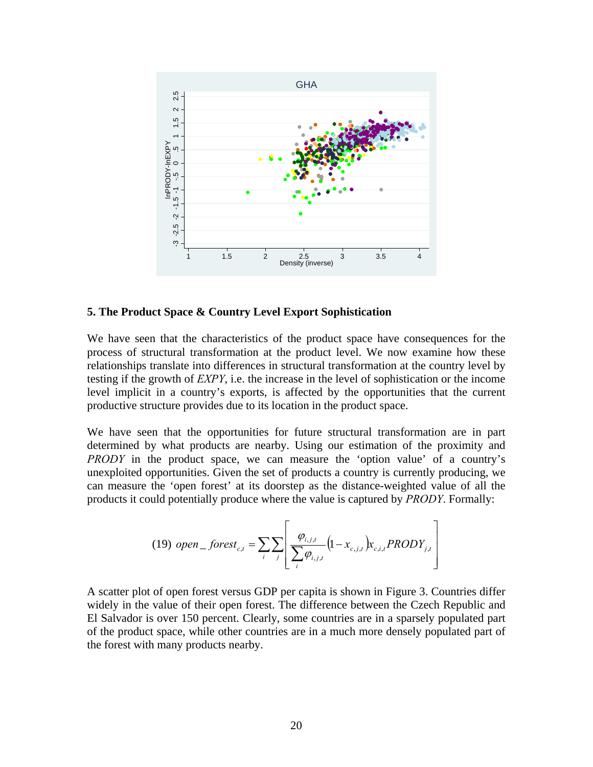

## **5. The Product Space & Country Level Export Sophistication**

We have seen that the characteristics of the product space have consequences for the process of structural transformation at the product level. We now examine how these relationships translate into differences in structural transformation at the country level by testing if the growth of *EXPY*, i.e. the increase in the level of sophistication or the income level implicit in a country's exports, is affected by the opportunities that the current productive structure provides due to its location in the product space.

We have seen that the opportunities for future structural transformation are in part determined by what products are nearby. Using our estimation of the proximity and *PRODY* in the product space, we can measure the 'option value' of a country's unexploited opportunities. Given the set of products a country is currently producing, we can measure the 'open forest' at its doorstep as the distance-weighted value of all the products it could potentially produce where the value is captured by *PRODY*. Formally:

(19) *open\_f forest*<sub>c,t</sub> = 
$$
\sum_{i} \sum_{j} \left[ \frac{\varphi_{i,j,t}}{\sum_{i} \varphi_{i,j,t}} (1 - x_{c,j,t}) x_{c,i,t} PRODUCTION_{j,t} \right]
$$

A scatter plot of open forest versus GDP per capita is shown in Figure 3. Countries differ widely in the value of their open forest. The difference between the Czech Republic and El Salvador is over 150 percent. Clearly, some countries are in a sparsely populated part of the product space, while other countries are in a much more densely populated part of the forest with many products nearby.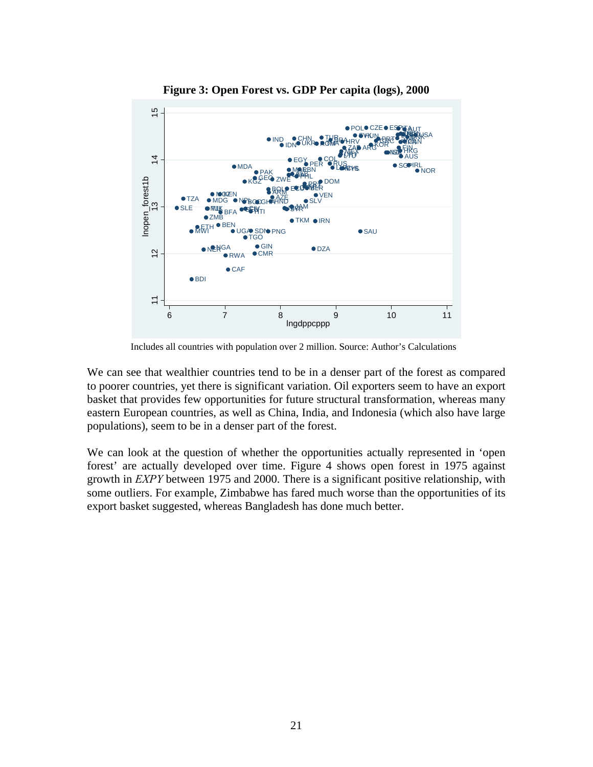

**Figure 3: Open Forest vs. GDP Per capita (logs), 2000** 

Includes all countries with population over 2 million. Source: Author's Calculations

We can see that wealthier countries tend to be in a denser part of the forest as compared to poorer countries, yet there is significant variation. Oil exporters seem to have an export basket that provides few opportunities for future structural transformation, whereas many eastern European countries, as well as China, India, and Indonesia (which also have large populations), seem to be in a denser part of the forest.

We can look at the question of whether the opportunities actually represented in 'open forest' are actually developed over time. Figure 4 shows open forest in 1975 against growth in *EXPY* between 1975 and 2000. There is a significant positive relationship, with some outliers. For example, Zimbabwe has fared much worse than the opportunities of its export basket suggested, whereas Bangladesh has done much better.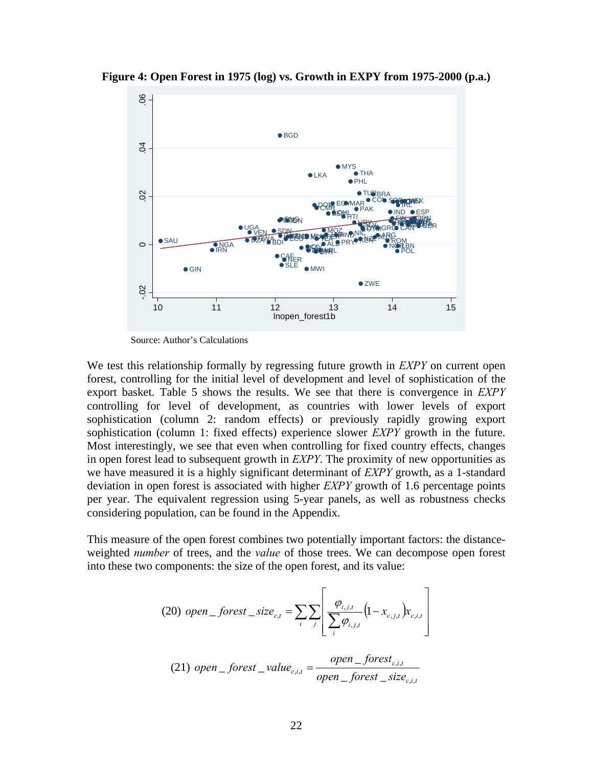

**Figure 4: Open Forest in 1975 (log) vs. Growth in EXPY from 1975-2000 (p.a.)** 

Source: Author's Calculations

We test this relationship formally by regressing future growth in *EXPY* on current open forest, controlling for the initial level of development and level of sophistication of the export basket. Table 5 shows the results. We see that there is convergence in *EXPY* controlling for level of development, as countries with lower levels of export sophistication (column 2: random effects) or previously rapidly growing export sophistication (column 1: fixed effects) experience slower *EXPY* growth in the future. Most interestingly, we see that even when controlling for fixed country effects, changes in open forest lead to subsequent growth in *EXPY*. The proximity of new opportunities as we have measured it is a highly significant determinant of *EXPY* growth, as a 1-standard deviation in open forest is associated with higher *EXPY* growth of 1.6 percentage points per year. The equivalent regression using 5-year panels, as well as robustness checks considering population, can be found in the Appendix.

This measure of the open forest combines two potentially important factors: the distanceweighted *number* of trees, and the *value* of those trees. We can decompose open forest into these two components: the size of the open forest, and its value:

(20) ∑∑ ( ) <sup>∑</sup> <sup>⎥</sup> ⎥ ⎥ ⎦ ⎤ ⎢ ⎢ ⎢ ⎣ ⎡ = − *i j c j t c i t i i j t i j t <sup>c</sup> <sup>t</sup> open forest size x x* , , , , , , , , \_ \_ , 1 ϕ ϕ (21) *c i t <sup>c</sup> <sup>i</sup> <sup>t</sup> open forest size* , , , , \_ \_ *c i t open forest open forest value* , , \_ \_ \_ <sup>=</sup>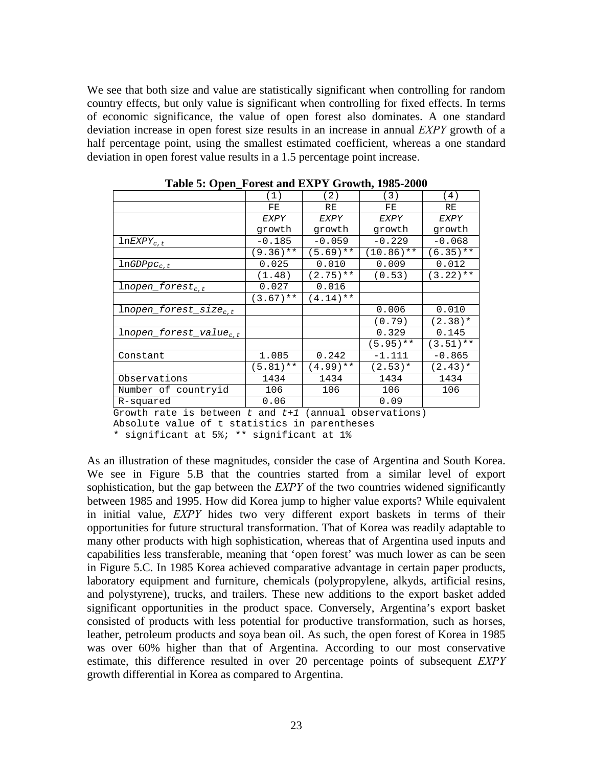We see that both size and value are statistically significant when controlling for random country effects, but only value is significant when controlling for fixed effects. In terms of economic significance, the value of open forest also dominates. A one standard deviation increase in open forest size results in an increase in annual *EXPY* growth of a half percentage point, using the smallest estimated coefficient, whereas a one standard deviation in open forest value results in a 1.5 percentage point increase.

| Table of Open $\pm$ or on and $\pm$ at $\pm$ Orowin, 1900 2000 |             |                      |              |             |
|----------------------------------------------------------------|-------------|----------------------|--------------|-------------|
|                                                                | (1)         | (2)                  | (3)          | (4)         |
|                                                                | FE          | RE                   | FE.          | RE          |
|                                                                | EXPY        | EXPY                 | EXPY         | EXPY        |
|                                                                | growth      | growth               | growth       | growth      |
| $ln$ <i>EXPY<sub>c,t</sub></i>                                 | $-0.185$    | $-0.059$             | $-0.229$     | $-0.068$    |
|                                                                | $(9.36)$ ** | $5.69$ <sup>**</sup> | $(10.86)$ ** | $(6.35)$ ** |
| $lnGDPpc_{c,t}$                                                | 0.025       | 0.010                | 0.009        | 0.012       |
|                                                                | (1.48)      | $2.75$ ) **          | (0.53)       | $(3.22)$ ** |
| $lnopen_f or est_{c,t}$                                        | 0.027       | 0.016                |              |             |
|                                                                | $(3.67)$ ** | $4.14$ <sup>**</sup> |              |             |
| $lnopen_forest_size_{c.t}$                                     |             |                      | 0.006        | 0.010       |
|                                                                |             |                      | (0.79)       | $(2.38)*$   |
| $lnopen_forest_value_{c,t}$                                    |             |                      | 0.329        | 0.145       |
|                                                                |             |                      | $(5.95)$ **  | $(3.51)$ ** |
| Constant                                                       | 1.085       | 0.242                | $-1.111$     | $-0.865$    |
|                                                                | $(5.81)$ ** | $4.99$ <sup>**</sup> | $(2.53)*$    | $(2.43)*$   |
| Observations                                                   | 1434        | 1434                 | 1434         | 1434        |
| Number of countryid                                            | 106         | 106                  | 106          | 106         |
| R-squared                                                      | 0.06        |                      | 0.09         |             |

**Table 5: Open\_Forest and EXPY Growth, 1985-2000** 

Growth rate is between *t* and *t+1* (annual observations)

Absolute value of t statistics in parentheses

\* significant at 5%; \*\* significant at 1%

As an illustration of these magnitudes, consider the case of Argentina and South Korea. We see in Figure 5.B that the countries started from a similar level of export sophistication, but the gap between the *EXPY* of the two countries widened significantly between 1985 and 1995. How did Korea jump to higher value exports? While equivalent in initial value, *EXPY* hides two very different export baskets in terms of their opportunities for future structural transformation. That of Korea was readily adaptable to many other products with high sophistication, whereas that of Argentina used inputs and capabilities less transferable, meaning that 'open forest' was much lower as can be seen in Figure 5.C. In 1985 Korea achieved comparative advantage in certain paper products, laboratory equipment and furniture, chemicals (polypropylene, alkyds, artificial resins, and polystyrene), trucks, and trailers. These new additions to the export basket added significant opportunities in the product space. Conversely, Argentina's export basket consisted of products with less potential for productive transformation, such as horses, leather, petroleum products and soya bean oil. As such, the open forest of Korea in 1985 was over 60% higher than that of Argentina. According to our most conservative estimate, this difference resulted in over 20 percentage points of subsequent *EXPY* growth differential in Korea as compared to Argentina.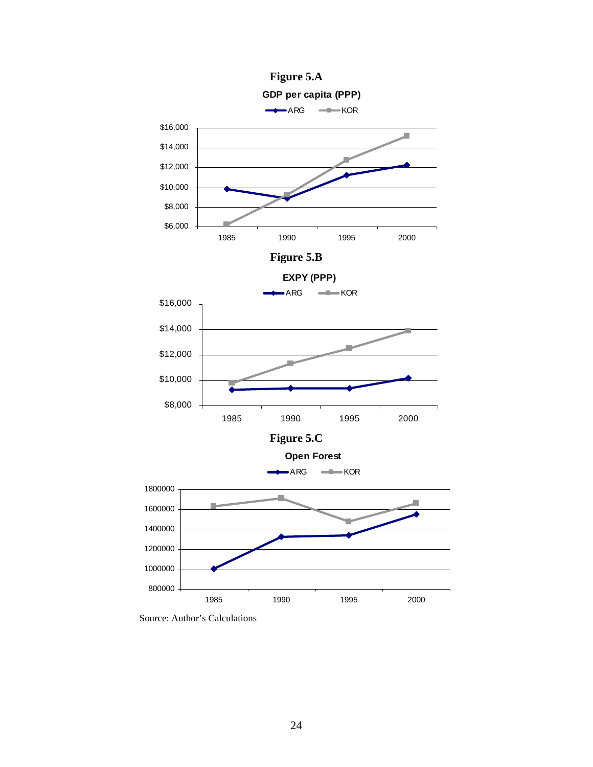

Source: Author's Calculations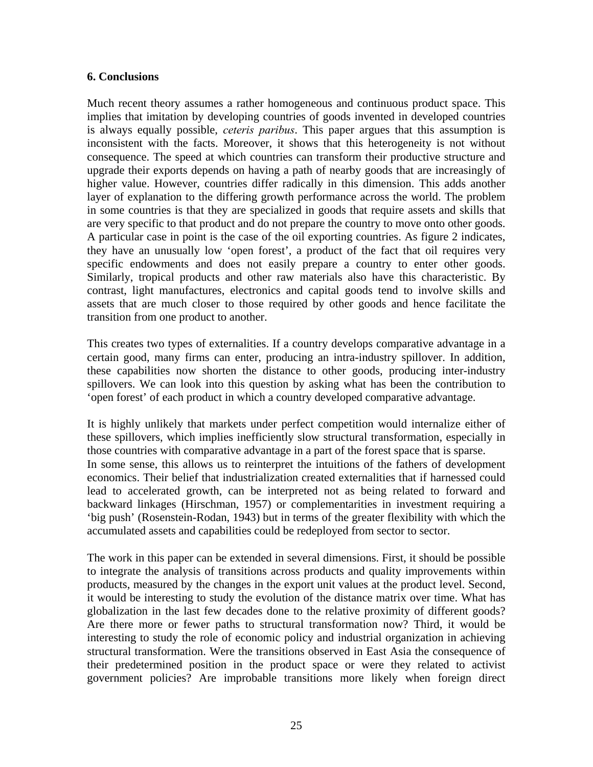## **6. Conclusions**

Much recent theory assumes a rather homogeneous and continuous product space. This implies that imitation by developing countries of goods invented in developed countries is always equally possible, *ceteris paribus*. This paper argues that this assumption is inconsistent with the facts. Moreover, it shows that this heterogeneity is not without consequence. The speed at which countries can transform their productive structure and upgrade their exports depends on having a path of nearby goods that are increasingly of higher value. However, countries differ radically in this dimension. This adds another layer of explanation to the differing growth performance across the world. The problem in some countries is that they are specialized in goods that require assets and skills that are very specific to that product and do not prepare the country to move onto other goods. A particular case in point is the case of the oil exporting countries. As figure 2 indicates, they have an unusually low 'open forest', a product of the fact that oil requires very specific endowments and does not easily prepare a country to enter other goods. Similarly, tropical products and other raw materials also have this characteristic. By contrast, light manufactures, electronics and capital goods tend to involve skills and assets that are much closer to those required by other goods and hence facilitate the transition from one product to another.

This creates two types of externalities. If a country develops comparative advantage in a certain good, many firms can enter, producing an intra-industry spillover. In addition, these capabilities now shorten the distance to other goods, producing inter-industry spillovers. We can look into this question by asking what has been the contribution to 'open forest' of each product in which a country developed comparative advantage.

It is highly unlikely that markets under perfect competition would internalize either of these spillovers, which implies inefficiently slow structural transformation, especially in those countries with comparative advantage in a part of the forest space that is sparse. In some sense, this allows us to reinterpret the intuitions of the fathers of development economics. Their belief that industrialization created externalities that if harnessed could lead to accelerated growth, can be interpreted not as being related to forward and backward linkages (Hirschman, 1957) or complementarities in investment requiring a 'big push' (Rosenstein-Rodan, 1943) but in terms of the greater flexibility with which the accumulated assets and capabilities could be redeployed from sector to sector.

The work in this paper can be extended in several dimensions. First, it should be possible to integrate the analysis of transitions across products and quality improvements within products, measured by the changes in the export unit values at the product level. Second, it would be interesting to study the evolution of the distance matrix over time. What has globalization in the last few decades done to the relative proximity of different goods? Are there more or fewer paths to structural transformation now? Third, it would be interesting to study the role of economic policy and industrial organization in achieving structural transformation. Were the transitions observed in East Asia the consequence of their predetermined position in the product space or were they related to activist government policies? Are improbable transitions more likely when foreign direct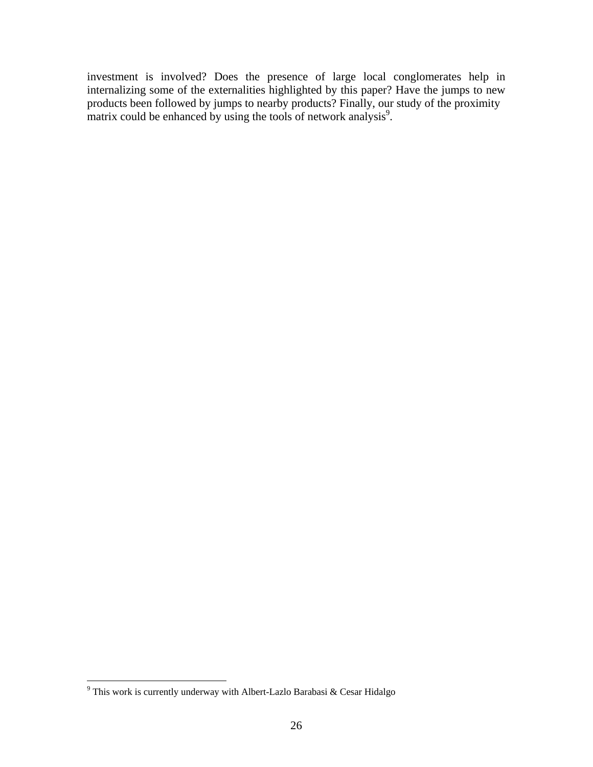investment is involved? Does the presence of large local conglomerates help in internalizing some of the externalities highlighted by this paper? Have the jumps to new products been followed by jumps to nearby products? Finally, our study of the proximity matrix could be enhanced by using the tools of network analysis<sup>9</sup>.

 9 This work is currently underway with Albert-Lazlo Barabasi & Cesar Hidalgo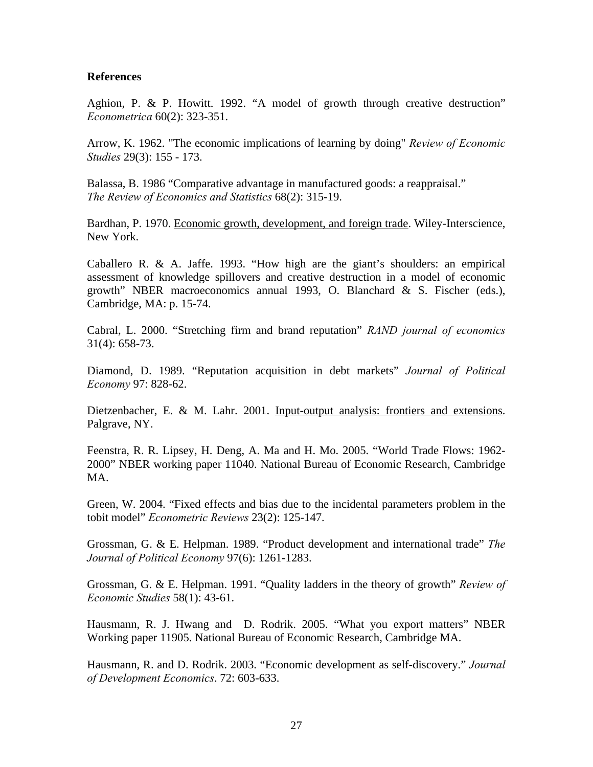## **References**

Aghion, P. & P. Howitt. 1992. "A model of growth through creative destruction" *Econometrica* 60(2): 323-351.

Arrow, K. 1962. "The economic implications of learning by doing" *Review of Economic Studies* 29(3): 155 - 173.

Balassa, B. 1986 "Comparative advantage in manufactured goods: a reappraisal." *The Review of Economics and Statistics* 68(2): 315-19.

Bardhan, P. 1970. Economic growth, development, and foreign trade. Wiley-Interscience, New York.

Caballero R. & A. Jaffe. 1993. "How high are the giant's shoulders: an empirical assessment of knowledge spillovers and creative destruction in a model of economic growth" NBER macroeconomics annual 1993, O. Blanchard & S. Fischer (eds.), Cambridge, MA: p. 15-74.

Cabral, L. 2000. "Stretching firm and brand reputation" *RAND journal of economics* 31(4): 658-73.

Diamond, D. 1989. "Reputation acquisition in debt markets" *Journal of Political Economy* 97: 828-62.

Dietzenbacher, E. & M. Lahr. 2001. Input-output analysis: frontiers and extensions. Palgrave, NY.

Feenstra, R. R. Lipsey, H. Deng, A. Ma and H. Mo. 2005. "World Trade Flows: 1962- 2000" NBER working paper 11040. National Bureau of Economic Research, Cambridge MA.

Green, W. 2004. "Fixed effects and bias due to the incidental parameters problem in the tobit model" *Econometric Reviews* 23(2): 125-147.

Grossman, G. & E. Helpman. 1989. "Product development and international trade" *The Journal of Political Economy* 97(6): 1261-1283.

Grossman, G. & E. Helpman. 1991. "Quality ladders in the theory of growth" *Review of Economic Studies* 58(1): 43-61.

Hausmann, R. J. Hwang and D. Rodrik. 2005. "What you export matters" NBER Working paper 11905. National Bureau of Economic Research, Cambridge MA.

Hausmann, R. and D. Rodrik. 2003. "Economic development as self-discovery." *Journal of Development Economics*. 72: 603-633.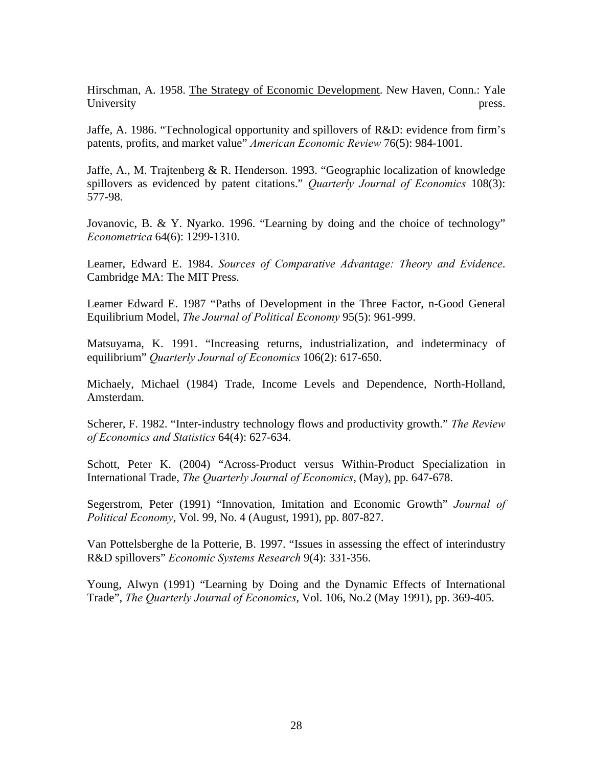Hirschman, A. 1958. The Strategy of Economic Development. New Haven, Conn.: Yale University press.

Jaffe, A. 1986. "Technological opportunity and spillovers of R&D: evidence from firm's patents, profits, and market value" *American Economic Review* 76(5): 984-1001.

Jaffe, A., M. Trajtenberg & R. Henderson. 1993. "Geographic localization of knowledge spillovers as evidenced by patent citations." *Quarterly Journal of Economics* 108(3): 577-98.

Jovanovic, B. & Y. Nyarko. 1996. "Learning by doing and the choice of technology" *Econometrica* 64(6): 1299-1310.

Leamer, Edward E. 1984. *Sources of Comparative Advantage: Theory and Evidence*. Cambridge MA: The MIT Press.

Leamer Edward E. 1987 "Paths of Development in the Three Factor, n-Good General Equilibrium Model, *The Journal of Political Economy* 95(5): 961-999.

Matsuyama, K. 1991. "Increasing returns, industrialization, and indeterminacy of equilibrium" *Quarterly Journal of Economics* 106(2): 617-650.

Michaely, Michael (1984) Trade, Income Levels and Dependence, North-Holland, Amsterdam.

Scherer, F. 1982. "Inter-industry technology flows and productivity growth." *The Review of Economics and Statistics* 64(4): 627-634.

Schott, Peter K. (2004) "Across-Product versus Within-Product Specialization in International Trade, *The Quarterly Journal of Economics*, (May), pp. 647-678.

Segerstrom, Peter (1991) "Innovation, Imitation and Economic Growth" *Journal of Political Economy*, Vol. 99, No. 4 (August, 1991), pp. 807-827.

Van Pottelsberghe de la Potterie, B. 1997. "Issues in assessing the effect of interindustry R&D spillovers" *Economic Systems Research* 9(4): 331-356.

Young, Alwyn (1991) "Learning by Doing and the Dynamic Effects of International Trade", *The Quarterly Journal of Economics*, Vol. 106, No.2 (May 1991), pp. 369-405.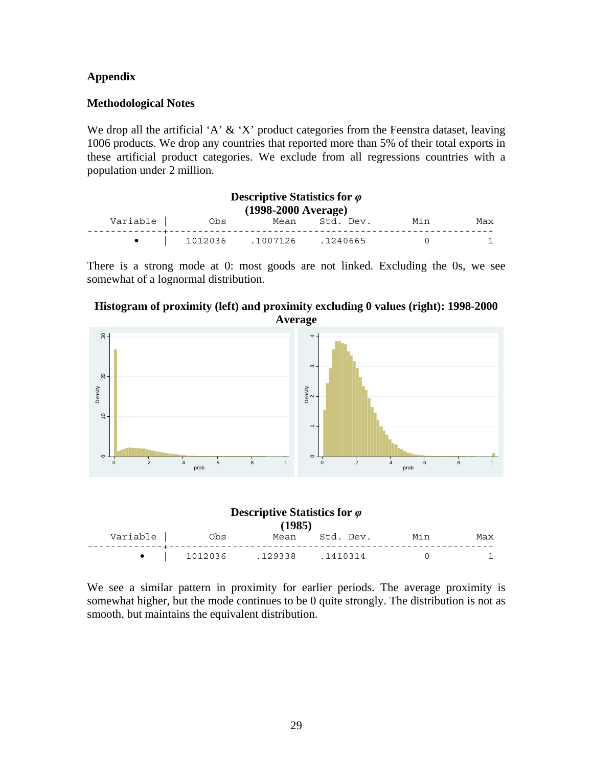## **Appendix**

## **Methodological Notes**

We drop all the artificial 'A'  $\&$  'X' product categories from the Feenstra dataset, leaving 1006 products. We drop any countries that reported more than 5% of their total exports in these artificial product categories. We exclude from all regressions countries with a population under 2 million.

| <b>Descriptive Statistics for <math>\varphi</math></b> |                       |          |                |     |     |  |  |  |
|--------------------------------------------------------|-----------------------|----------|----------------|-----|-----|--|--|--|
|                                                        | $(1998-2000$ Average) |          |                |     |     |  |  |  |
| Variable                                               | Obs                   |          | Mean Std. Dev. | Min | Max |  |  |  |
|                                                        | 1012036               | .1007126 | .1240665       |     |     |  |  |  |

There is a strong mode at 0: most goods are not linked. Excluding the 0s, we see somewhat of a lognormal distribution.

## **Histogram of proximity (left) and proximity excluding 0 values (right): 1998-2000 Average**





We see a similar pattern in proximity for earlier periods. The average proximity is somewhat higher, but the mode continues to be 0 quite strongly. The distribution is not as smooth, but maintains the equivalent distribution.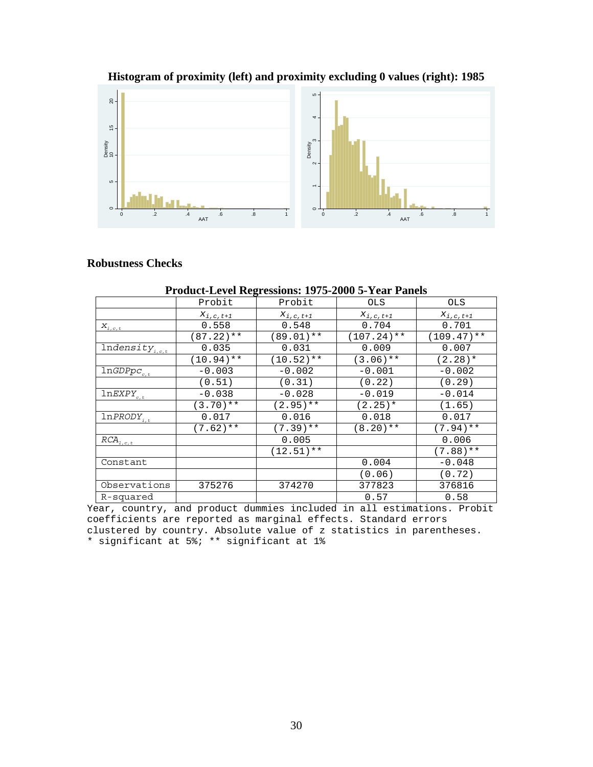

## **Histogram of proximity (left) and proximity excluding 0 values (right): 1985**

## **Robustness Checks**

|                                              | Trouble Level Regressions. Level 2 real Tancis |               |               |               |  |  |  |  |
|----------------------------------------------|------------------------------------------------|---------------|---------------|---------------|--|--|--|--|
|                                              | Probit                                         | Probit        | OLS.          | OLS.          |  |  |  |  |
|                                              | $X_{i,c,t+1}$                                  | $X_{i,c,t+1}$ | $X_{i,c,t+1}$ | $X_{i,c,t+1}$ |  |  |  |  |
| $X_{i,c,t}$                                  | 0.558                                          | 0.548         | 0.704         | 0.701         |  |  |  |  |
|                                              | $(87.22)$ **                                   | $(89.01)$ **  | $(107.24)$ ** | $(109.47)$ ** |  |  |  |  |
| $\overline{\text{Indensity}_{i,c,t}}$        | 0.035                                          | 0.031         | 0.009         | 0.007         |  |  |  |  |
|                                              | $(10.94)$ **                                   | $(10.52)**$   | $(3.06)$ **   | $(2.28)$ *    |  |  |  |  |
| $\overline{\texttt{lnGDPpc}}_{\textit{c},t}$ | $-0.003$                                       | $-0.002$      | $-0.001$      | $-0.002$      |  |  |  |  |
|                                              | (0.51)                                         | (0.31)        | (0.22)        | (0.29)        |  |  |  |  |
| $\overline{\ln}$ <i>EXPY<sub>c,t</sub></i>   | $-0.038$                                       | $-0.028$      | $-0.019$      | $-0.014$      |  |  |  |  |
|                                              | $(3.70)**$                                     | $(2.95)$ **   | $(2.25)*$     | (1.65)        |  |  |  |  |
| $\overline{\ln}$ PRODY <sub>it</sub>         | 0.017                                          | 0.016         | 0.018         | 0.017         |  |  |  |  |
|                                              | $(7.62)$ **                                    | $(7.39)$ **   | $(8.20)$ **   | $(7.94)$ **   |  |  |  |  |
| $RCA_{1,c,t}$                                |                                                | 0.005         |               | 0.006         |  |  |  |  |
|                                              |                                                | $(12.51)$ **  |               | $(7.88)$ **   |  |  |  |  |
| Constant                                     |                                                |               | 0.004         | $-0.048$      |  |  |  |  |
|                                              |                                                |               | (0.06)        | (0.72)        |  |  |  |  |
| Observations                                 | 375276                                         | 374270        | 377823        | 376816        |  |  |  |  |
| R-squared                                    |                                                |               | 0.57          | 0.58          |  |  |  |  |

**Product-Level Regressions: 1975-2000 5-Year Panels** 

Year, country, and product dummies included in all estimations. Probit coefficients are reported as marginal effects. Standard errors clustered by country. Absolute value of z statistics in parentheses. \* significant at 5%; \*\* significant at 1%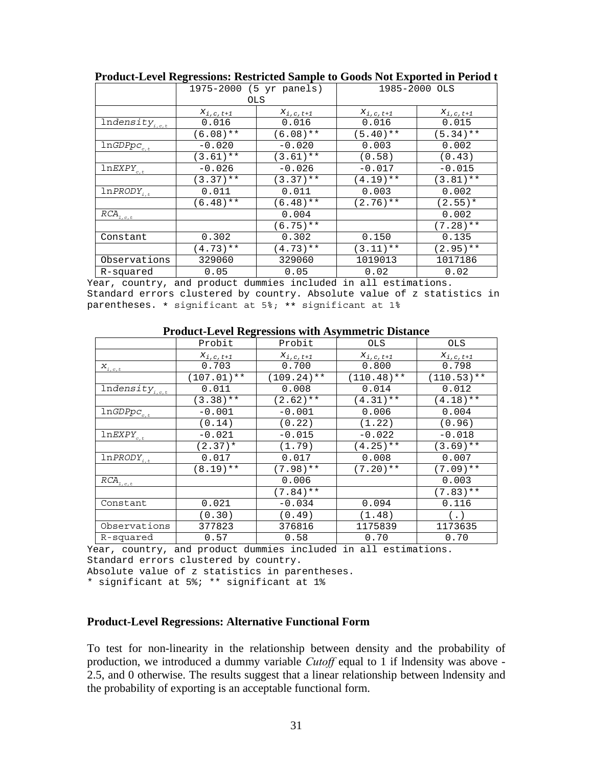|                                            | 1975-2000 (5 yr panels) | OLS           | 1985-2000 OLS |               |  |
|--------------------------------------------|-------------------------|---------------|---------------|---------------|--|
|                                            | $X_{i,c,t+1}$           | $X_{i,c,t+1}$ | $X_{i,c,t+1}$ | $X_{i,c,t+1}$ |  |
| $\overline{\text{Indensity}_{i, c, t}}$    | 0.016                   | 0.016         | 0.016         | 0.015         |  |
|                                            | $(6.08)$ **             | $(6.08)$ **   | $(5.40)**$    | $(5.34)$ **   |  |
| $\overline{\texttt{lnGDPpc}}_{c,t}$        | $-0.020$                | $-0.020$      | 0.003         | 0.002         |  |
|                                            | $(3.61)$ **             | $(3.61)$ **   | (0.58)        | (0.43)        |  |
| $ln$ <i>EXPY<sub>c,t</sub></i>             | $-0.026$                | $-0.026$      | $-0.017$      | $-0.015$      |  |
|                                            | $(3.37)$ **             | $(3.37)$ **   | $(4.19)$ **   | $(3.81)$ **   |  |
| $\overline{\text{ln}P}$ RODY <sub>it</sub> | 0.011                   | 0.011         | 0.003         | 0.002         |  |
|                                            | $(6.48)$ **             | $(6.48)$ **   | $(2.76)$ **   | $(2.55)*$     |  |
| $RCA$ <sub>1, c, t</sub>                   |                         | 0.004         |               | 0.002         |  |
|                                            |                         | $(6.75)$ **   |               | $(7.28)$ **   |  |
| Constant                                   | 0.302                   | 0.302         | 0.150         | 0.135         |  |
|                                            | $4.73$ <sup>**</sup>    | $(4.73)$ **   | $(3.11)$ **   | $(2.95)$ **   |  |
| Observations                               | 329060                  | 329060        | 1019013       | 1017186       |  |
| R-squared                                  | 0.05                    | 0.05          | 0.02          | 0.02          |  |

**Product-Level Regressions: Restricted Sample to Goods Not Exported in Period t**

Year, country, and product dummies included in all estimations. Standard errors clustered by country. Absolute value of z statistics in parentheses. \* significant at 5%; \*\* significant at 1%

|                                          | Probit        | Probit        | OLS           | <b>OLS</b>    |
|------------------------------------------|---------------|---------------|---------------|---------------|
|                                          | $X_{i,c,t+1}$ | $X_{i,c,t+1}$ | $X_{i,c,t+1}$ | $X_{i,c,t+1}$ |
| $X_{i,c,t}$                              | 0.703         | 0.700         | 0.800         | 0.798         |
|                                          | $(107.01)$ ** | $(109.24)$ ** | $(110.48)$ ** | $(110.53)$ ** |
| $\overline{\text{Indensity}_{i,c,t}}$    | 0.011         | 0.008         | 0.014         | 0.012         |
|                                          | $(3.38)$ **   | $(2.62)$ **   | $(4.31)$ **   | $(4.18)$ **   |
| $InGDPpc_{c,t}$                          | $-0.001$      | $-0.001$      | 0.006         | 0.004         |
|                                          | (0.14)        | (0.22)        | (1.22)        | (0.96)        |
| $\overline{\text{ln} \text{EXPY}}_{c,t}$ | $-0.021$      | $-0.015$      | $-0.022$      | $-0.018$      |
|                                          | $(2.37)*$     | (1.79)        | $(4.25)$ **   | $(3.69)$ **   |
| $\overline{\text{ln}PRODY}_{i,t}}$       | 0.017         | 0.017         | 0.008         | 0.007         |
|                                          | $(8.19)$ **   | $(7.98)$ **   | $(7.20)**$    | $(7.09)$ **   |
| $RCA_{1,c,t}$                            |               | 0.006         |               | 0.003         |
|                                          |               | $(7.84)$ **   |               | $(7.83)$ **   |
| Constant                                 | 0.021         | $-0.034$      | 0.094         | 0.116         |
|                                          | (0.30)        | (0.49)        | (1.48)        | $($ .)        |
| Observations                             | 377823        | 376816        | 1175839       | 1173635       |
| R-squared                                | 0.57          | 0.58          | 0.70          | 0.70          |

**Product-Level Regressions with Asymmetric Distance** 

Year, country, and product dummies included in all estimations. Standard errors clustered by country.

Absolute value of z statistics in parentheses.

\* significant at 5%; \*\* significant at 1%

## **Product-Level Regressions: Alternative Functional Form**

To test for non-linearity in the relationship between density and the probability of production, we introduced a dummy variable *Cutoff* equal to 1 if lndensity was above - 2.5, and 0 otherwise. The results suggest that a linear relationship between lndensity and the probability of exporting is an acceptable functional form.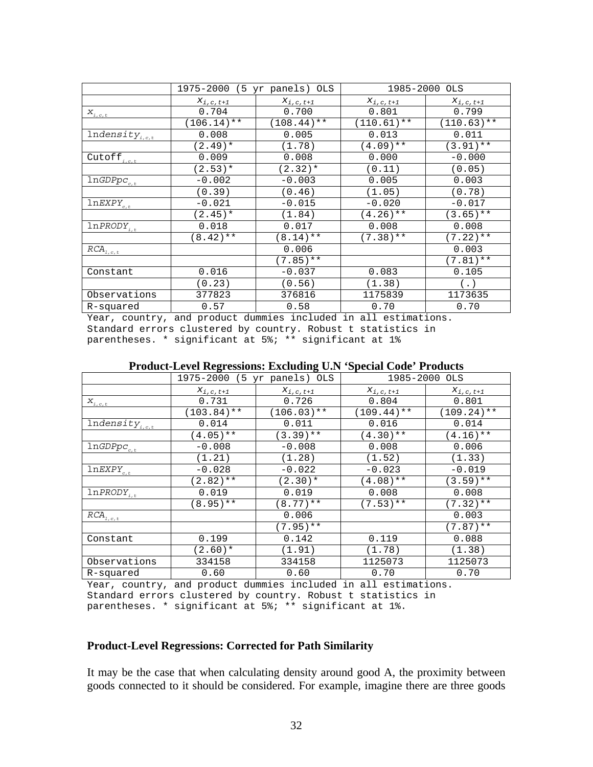|                                                      | 1975-2000 (5 yr panels) OLS |                      | 1985-2000 OLS |                  |  |
|------------------------------------------------------|-----------------------------|----------------------|---------------|------------------|--|
|                                                      | $X_{i,c,t+1}$               | $X_{i,c,t+1}$        | $X_{i,c,t+1}$ | $X_{i,c,t+1}$    |  |
| $X_{i,c,t}$                                          | 0.704                       | 0.700                | 0.801         | 0.799            |  |
|                                                      | $106.14$ <sup>**</sup>      | $(108.44)$ **        | $(110.61)$ ** | $(110.63)$ **    |  |
| Indensity $_{i,c,t}$                                 | 0.008                       | 0.005                | 0.013         | 0.011            |  |
|                                                      | $(2.49)*$                   | (1.78)               | $(4.09)**$    | $(3.91)$ **      |  |
| $Cutoff_{i.c.t.}$                                    | 0.009                       | 0.008                | 0.000         | $-0.000$         |  |
|                                                      | $(2.53)*$                   | $(2.32)*$            | (0.11)        | (0.05)           |  |
| $InGDPpc_{c,t}$                                      | $-0.002$                    | $-0.003$             | 0.005         | 0.003            |  |
|                                                      | (0.39)                      | (0.46)               | (1.05)        | (0.78)           |  |
| $\overline{\text{ln} \text{EXPY}}_{c,t}$             | $-0.021$                    | $-0.015$             | $-0.020$      | $-0.017$         |  |
|                                                      | $(2.45)*$                   | (1.84)               | $(4.26)$ **   | $(3.65)**$       |  |
| $\overline{\text{ln} \text{PROD} Y}_{i,t}}$          | 0.018                       | 0.017                | 0.008         | 0.008            |  |
|                                                      | $(8.42)$ **                 | $8.14$ <sup>**</sup> | $(7.38)$ **   | $(7.22)**$       |  |
| $RCA_{\underline{\textit{1},\textit{c},\textit{t}}}$ |                             | 0.006                |               | 0.003            |  |
|                                                      |                             | $(7.85)$ **          |               | $(7.81)$ **      |  |
| Constant                                             | 0.016                       | $-0.037$             | 0.083         | 0.105            |  |
|                                                      | (0.23)                      | (0.56)               | (1.38)        | $(\cdot, \cdot)$ |  |
| Observations                                         | 377823                      | 376816               | 1175839       | 1173635          |  |
| R-squared                                            | 0.57                        | 0.58                 | 0.70          | 0.70             |  |

Year, country, and product dummies included in all estimations. Standard errors clustered by country. Robust t statistics in parentheses. \* significant at 5%; \*\* significant at 1%

#### **Product-Level Regressions: Excluding U.N 'Special Code' Products**

|                                                       |                      | 1975-2000 (5 yr panels) OLS | 1985-2000 OLS |               |  |
|-------------------------------------------------------|----------------------|-----------------------------|---------------|---------------|--|
|                                                       | $X_{i,c,t+1}$        | $X_{i,c,t+1}$               | $X_{i,c,t+1}$ | $X_{i,c,t+1}$ |  |
| $X_{i,c,t}$                                           | 0.731                | 0.726                       | 0.804         | 0.801         |  |
|                                                       | $(103.84)$ **        | $(106.03)$ **               | $(109.44)$ ** | $(109.24)$ ** |  |
| $\overline{\text{Indexity}}_{i,c,t}$                  | 0.014                | 0.011                       | 0.016         | 0.014         |  |
|                                                       | $4.05$ <sup>**</sup> | $(3.39)$ **                 | $(4.30)**$    | $(4.16)$ **   |  |
| $\overline{\ln GDPpc}_{_{c,t}}$                       | $-0.008$             | $-0.008$                    | 0.008         | 0.006         |  |
|                                                       | (1.21)               | (1.28)                      | (1.52)        | (1.33)        |  |
| $\overline{\mathtt{ln} \mathtt{EXPY}_{\mathtt{c},t}}$ | $-0.028$             | $-0.022$                    | $-0.023$      | $-0.019$      |  |
|                                                       | $(2.82)$ **          | $(2.30)*$                   | $(4.08)$ **   | (3.59)**      |  |
| $\overline{\text{ln}P}$ RODY <sub>it</sub>            | 0.019                | 0.019                       | 0.008         | 0.008         |  |
|                                                       | $(8.95)$ **          | $8.77$ ) **                 | $(7.53)**$    | $(7.32)$ **   |  |
| $\overline{RCA}_{1,c,t}$                              |                      | 0.006                       |               | 0.003         |  |
|                                                       |                      | $(7.95)$ **                 |               | $(7.87)$ **   |  |
| Constant                                              | 0.199                | 0.142                       | 0.119         | 0.088         |  |
|                                                       | $(2.60)*$            | (1.91)                      | (1.78)        | (1.38)        |  |
| Observations                                          | 334158               | 334158                      | 1125073       | 1125073       |  |
| R-squared                                             | 0.60                 | 0.60                        | 0.70          | 0.70          |  |

Year, country, and product dummies included in all estimations. Standard errors clustered by country. Robust t statistics in parentheses. \* significant at 5%; \*\* significant at 1%.

## **Product-Level Regressions: Corrected for Path Similarity**

It may be the case that when calculating density around good A, the proximity between goods connected to it should be considered. For example, imagine there are three goods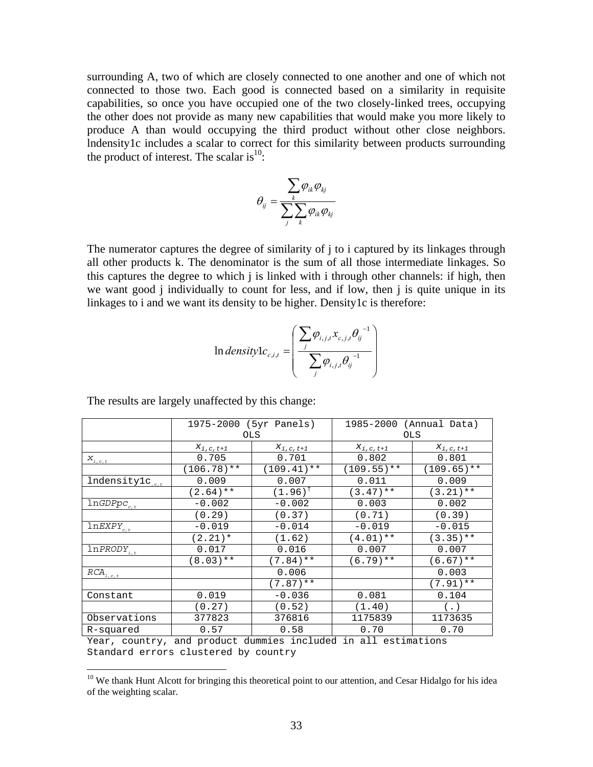surrounding A, two of which are closely connected to one another and one of which not connected to those two. Each good is connected based on a similarity in requisite capabilities, so once you have occupied one of the two closely-linked trees, occupying the other does not provide as many new capabilities that would make you more likely to produce A than would occupying the third product without other close neighbors. lndensity1c includes a scalar to correct for this similarity between products surrounding the product of interest. The scalar is $^{10}$ :

$$
\theta_{ij} = \frac{\sum_{k} \varphi_{ik} \varphi_{kj}}{\sum_{j} \sum_{k} \varphi_{ik} \varphi_{kj}}
$$

The numerator captures the degree of similarity of j to i captured by its linkages through all other products k. The denominator is the sum of all those intermediate linkages. So this captures the degree to which j is linked with i through other channels: if high, then we want good j individually to count for less, and if low, then j is quite unique in its linkages to i and we want its density to be higher. Density1c is therefore:

$$
\ln density1c_{c,i,t} = \left(\frac{\sum_{j} \varphi_{i,j,t} x_{c,j,t} \theta_{ij}^{-1}}{\sum_{j} \varphi_{i,j,t} \theta_{ij}^{-1}}\right)
$$

The results are largely unaffected by this change:

 $\overline{a}$ 

|                                              | 1975-2000 (5yr Panels) |               | 1985-2000 (Annual Data) |               |  |
|----------------------------------------------|------------------------|---------------|-------------------------|---------------|--|
|                                              | OLS                    |               | <b>OLS</b>              |               |  |
|                                              | $X_{i,c,t+1}$          | $X_{i,c,t+1}$ | $X_{i,c,t+1}$           | $X_{i,c,t+1}$ |  |
| $X_{i,c,t}$                                  | 0.705                  | 0.701         | 0.802                   | 0.801         |  |
|                                              | $(106.78)$ **          | $(109.41)$ ** | $(109.55)$ **           | $(109.65)$ ** |  |
| $\overline{\text{Indensity1c}}_{c.t.}$       | 0.009                  | 0.007         | 0.011                   | 0.009         |  |
|                                              | $(2.64)$ **            | $(1.96)^+$    | $(3.47)$ **             | $(3.21)$ **   |  |
| $\overline{\texttt{lnGDPpc}}_{c,t}$          | $-0.002$               | $-0.002$      | 0.003                   | 0.002         |  |
|                                              | (0.29)                 | (0.37)        | (0.71)                  | (0.39)        |  |
| $\overline{\text{ln} \text{EXPY}}_{c,t}$     | $-0.019$               | $-0.014$      | $-0.019$                | $-0.015$      |  |
|                                              | $(2.21)*$              | (1.62)        | $(4.01)$ **             | $(3.35)$ **   |  |
| $\overline{\ln}$ <i>PRODY</i> <sub>i,t</sub> | 0.017                  | 0.016         | 0.007                   | 0.007         |  |
|                                              | $(8.03)$ **            | $(7.84)$ **   | $6.79$ <sup>**</sup>    | $(6.67)$ **   |  |
| $RCA_{1,c,t}$                                |                        | 0.006         |                         | 0.003         |  |
|                                              |                        | $(7.87)$ **   |                         | $(7.91)$ **   |  |
| Constant                                     | 0.019                  | $-0.036$      | 0.081                   | 0.104         |  |
|                                              | (0.27)                 | (0.52)        | (1.40)                  | $($ .)        |  |
| Observations                                 | 377823                 | 376816        | 1175839                 | 1173635       |  |
| R-squared                                    | 0.57                   | 0.58          | 0.70                    | 0.70          |  |

Year, country, and product dummies included in all estimations Standard errors clustered by country

<sup>&</sup>lt;sup>10</sup> We thank Hunt Alcott for bringing this theoretical point to our attention, and Cesar Hidalgo for his idea of the weighting scalar.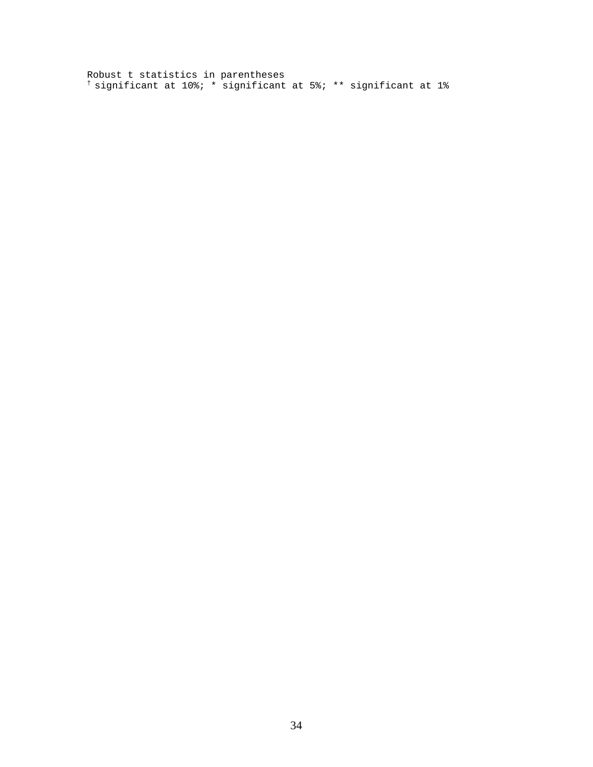Robust t statistics in parentheses † significant at 10%; \* significant at 5%; \*\* significant at 1%